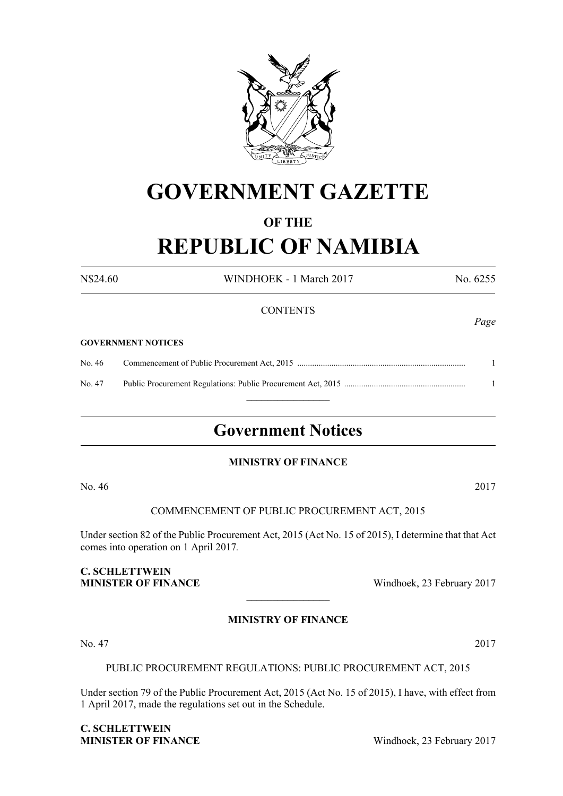

# **GOVERNMENT GAZETTE**

# **OF THE**

# **REPUBLIC OF NAMIBIA**

N\$24.60 WINDHOEK - 1 March 2017 No. 6255

#### **CONTENTS**

#### **GOVERNMENT NOTICES**

No. 46 Commencement of Public Procurement Act, 2015 ............................................................................... 1 No. 47 Public Procurement Regulations: Public Procurement Act, 2015 ......................................................... 1

 $\overline{\phantom{a}}$  , where  $\overline{\phantom{a}}$ 

# **Government Notices**

#### **MINISTRY OF FINANCE**

No. 46 2017

#### COMMENCEMENT OF PUBLIC PROCUREMENT ACT, 2015

Under section 82 of the Public Procurement Act, 2015 (Act No. 15 of 2015), I determine that that Act comes into operation on 1 April 2017*.* 

#### **C. Schlettwein MINISTER OF FINANCE** Windhoek, 23 February 2017

#### **MINISTRY OF FINANCE**

 $\overline{\phantom{a}}$  , where  $\overline{\phantom{a}}$ 

No. 47 2017

#### PUBLIC PROCUREMENT REGULATIONS: PUBLIC PROCUREMENT ACT, 2015

Under section 79 of the Public Procurement Act, 2015 (Act No. 15 of 2015), I have, with effect from 1 April 2017, made the regulations set out in the Schedule.

**C. Schlettwein MINISTER OF FINANCE** Windhoek, 23 February 2017

*Page*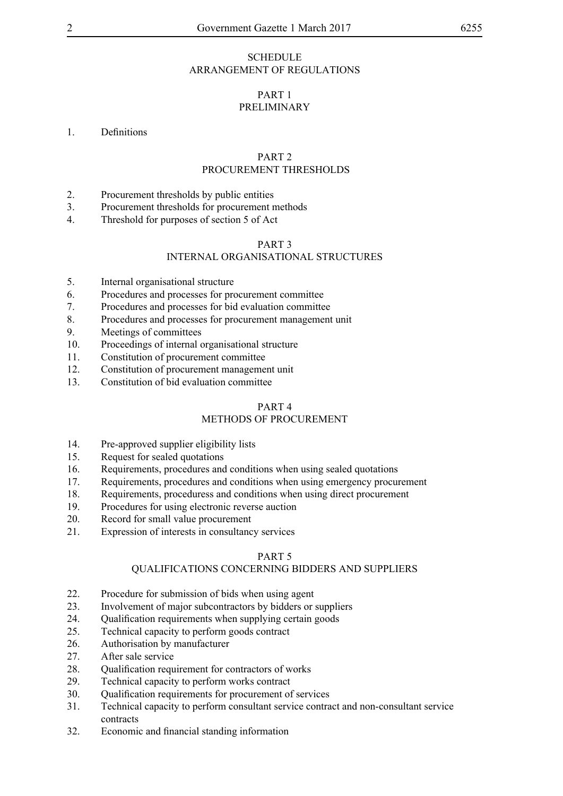#### **SCHEDULE** ARRANGEMENT OF REGULATIONS

#### PART 1 PRELIMINARY

# 1 Definitions

#### PART 2 PROCUREMENT THRESHOLDS

- 2. Procurement thresholds by public entities
- 3. Procurement thresholds for procurement methods
- 4. Threshold for purposes of section 5 of Act

# PART 3

# INTERNAL ORGANISATIONAL STRUCTURES

- 5. Internal organisational structure
- 6. Procedures and processes for procurement committee
- 7. Procedures and processes for bid evaluation committee
- 8. Procedures and processes for procurement management unit
- 9. Meetings of committees
- 10. Proceedings of internal organisational structure
- 11. Constitution of procurement committee
- 12. Constitution of procurement management unit
- 13. Constitution of bid evaluation committee

#### PART 4

# METHODS OF PROCUREMENT

- 14. Pre-approved supplier eligibility lists
- 15. Request for sealed quotations
- 16. Requirements, procedures and conditions when using sealed quotations
- 17. Requirements, procedures and conditions when using emergency procurement
- 18. Requirements, proceduress and conditions when using direct procurement
- 19. Procedures for using electronic reverse auction
- 20. Record for small value procurement
- 21. Expression of interests in consultancy services

#### PART 5

#### QUALIFICATIONS CONCERNING BIDDERS AND SUPPLIERS

- 22. Procedure for submission of bids when using agent
- 23. Involvement of major subcontractors by bidders or suppliers
- 24. Qualification requirements when supplying certain goods
- 25. Technical capacity to perform goods contract
- 26. Authorisation by manufacturer
- 27. After sale service
- 28. Qualification requirement for contractors of works
- 29. Technical capacity to perform works contract
- 30. Qualification requirements for procurement of services
- 31. Technical capacity to perform consultant service contract and non-consultant service contracts
- 32. Economic and financial standing information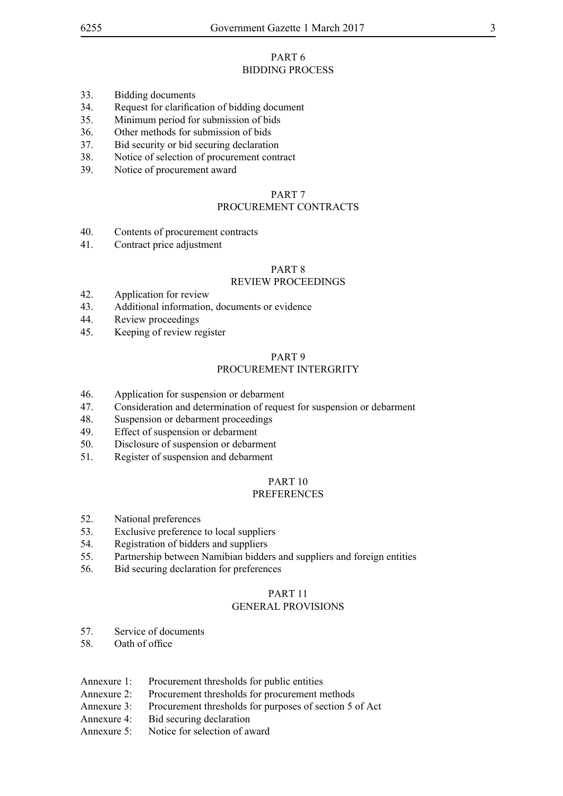#### PART 6 BIDDING PROCESS

- 33. Bidding documents
- 34. Request for clarification of bidding document
- 35. Minimum period for submission of bids
- 36. Other methods for submission of bids
- 37. Bid security or bid securing declaration
- 38. Notice of selection of procurement contract
- 39. Notice of procurement award

# PART 7

#### PROCUREMENT CONTRACTS

- 40. Contents of procurement contracts
- 41. Contract price adjustment

#### PART 8

#### REVIEW PROCEEDINGS

- 42. Application for review
- 43. Additional information, documents or evidence
- 44. Review proceedings
- 45. Keeping of review register

#### PART 9

#### PROCUREMENT INTERGRITY

- 46. Application for suspension or debarment
- 47. Consideration and determination of request for suspension or debarment
- 48. Suspension or debarment proceedings
- 49. Effect of suspension or debarment
- 50. Disclosure of suspension or debarment
- 51. Register of suspension and debarment

# PART 10

#### **PREFERENCES**

- 52. National preferences
- 53. Exclusive preference to local suppliers
- 54. Registration of bidders and suppliers
- 55. Partnership between Namibian bidders and suppliers and foreign entities
- 56. Bid securing declaration for preferences

#### PART 11

#### GENERAL PROVISIONS

- 57. Service of documents
- 58. Oath of office
- Annexure 1: Procurement thresholds for public entities
- Annexure 2: Procurement thresholds for procurement methods
- Annexure 3: Procurement thresholds for purposes of section 5 of Act
- Annexure 4: Bid securing declaration
- Annexure 5: Notice for selection of award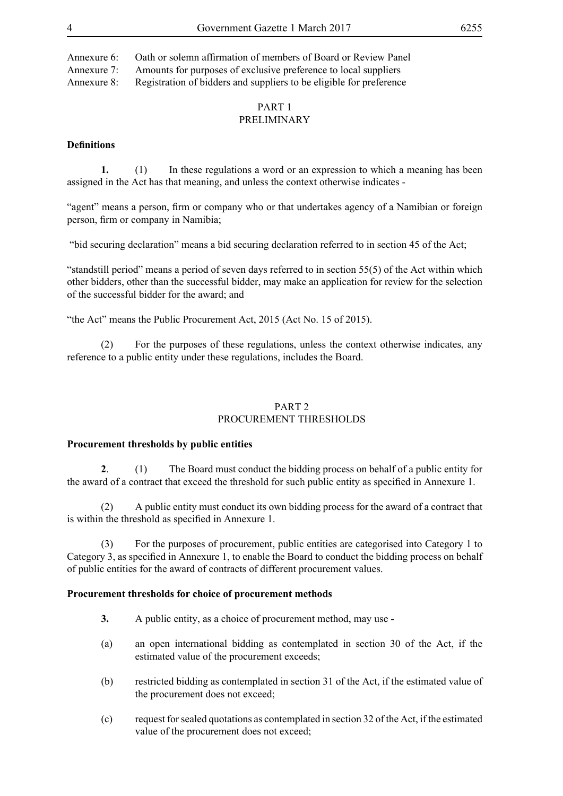Annexure 6: Oath or solemn affirmation of members of Board or Review Panel Annexure 7: Amounts for purposes of exclusive preference to local suppliers Annexure 8: Registration of bidders and suppliers to be eligible for preference

# PART 1 PRELIMINARY

## **Definitions**

**1.** (1) In these regulations a word or an expression to which a meaning has been assigned in the Act has that meaning, and unless the context otherwise indicates -

"agent" means a person, firm or company who or that undertakes agency of a Namibian or foreign person, firm or company in Namibia;

"bid securing declaration" means a bid securing declaration referred to in section 45 of the Act;

"standstill period" means a period of seven days referred to in section 55(5) of the Act within which other bidders, other than the successful bidder, may make an application for review for the selection of the successful bidder for the award; and

"the Act" means the Public Procurement Act, 2015 (Act No. 15 of 2015).

(2) For the purposes of these regulations, unless the context otherwise indicates, any reference to a public entity under these regulations, includes the Board.

#### PART 2 PROCUREMENT THRESHOLDS

#### **Procurement thresholds by public entities**

**2**. (1) The Board must conduct the bidding process on behalf of a public entity for the award of a contract that exceed the threshold for such public entity as specified in Annexure 1.

(2) A public entity must conduct its own bidding process for the award of a contract that is within the threshold as specified in Annexure 1.

(3) For the purposes of procurement, public entities are categorised into Category 1 to Category 3, as specified in Annexure 1, to enable the Board to conduct the bidding process on behalf of public entities for the award of contracts of different procurement values.

#### **Procurement thresholds for choice of procurement methods**

- **3.** A public entity, as a choice of procurement method, may use -
- (a) an open international bidding as contemplated in section 30 of the Act, if the estimated value of the procurement exceeds;
- (b) restricted bidding as contemplated in section 31 of the Act, if the estimated value of the procurement does not exceed;
- (c) request for sealed quotations as contemplated in section 32 of the Act, if the estimated value of the procurement does not exceed;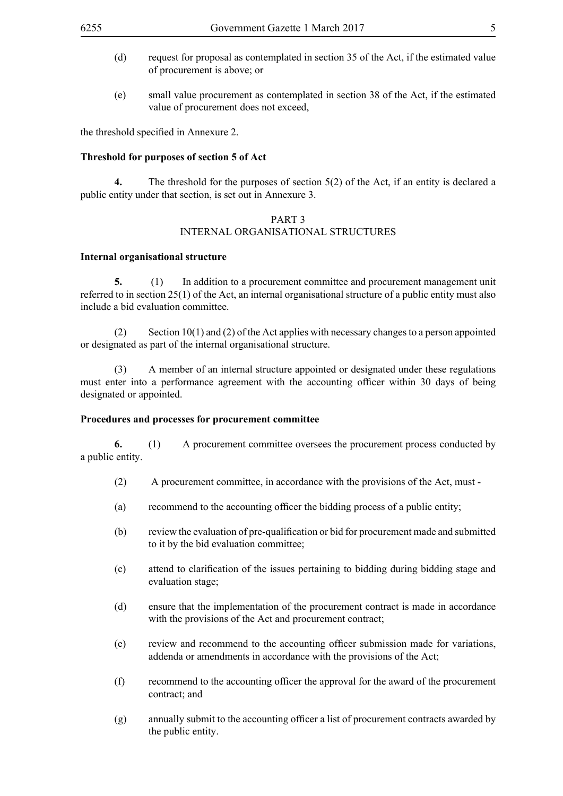- (d) request for proposal as contemplated in section 35 of the Act, if the estimated value of procurement is above; or
- (e) small value procurement as contemplated in section 38 of the Act, if the estimated value of procurement does not exceed,

the threshold specified in Annexure 2.

#### **Threshold for purposes of section 5 of Act**

**4.** The threshold for the purposes of section 5(2) of the Act, if an entity is declared a public entity under that section, is set out in Annexure 3.

#### PART 3 INTERNAL ORGANISATIONAL STRUCTURES

#### **Internal organisational structure**

**5.** (1) In addition to a procurement committee and procurement management unit referred to in section 25(1) of the Act, an internal organisational structure of a public entity must also include a bid evaluation committee.

(2) Section 10(1) and (2) of the Act applies with necessary changes to a person appointed or designated as part of the internal organisational structure.

(3) A member of an internal structure appointed or designated under these regulations must enter into a performance agreement with the accounting officer within 30 days of being designated or appointed.

#### **Procedures and processes for procurement committee**

**6.** (1) A procurement committee oversees the procurement process conducted by a public entity.

- (2) A procurement committee, in accordance with the provisions of the Act, must -
- (a) recommend to the accounting officer the bidding process of a public entity;
- (b) review the evaluation of pre-qualification or bid for procurement made and submitted to it by the bid evaluation committee;
- (c) attend to clarification of the issues pertaining to bidding during bidding stage and evaluation stage;
- (d) ensure that the implementation of the procurement contract is made in accordance with the provisions of the Act and procurement contract;
- (e) review and recommend to the accounting officer submission made for variations, addenda or amendments in accordance with the provisions of the Act;
- (f) recommend to the accounting officer the approval for the award of the procurement contract; and
- (g) annually submit to the accounting officer a list of procurement contracts awarded by the public entity.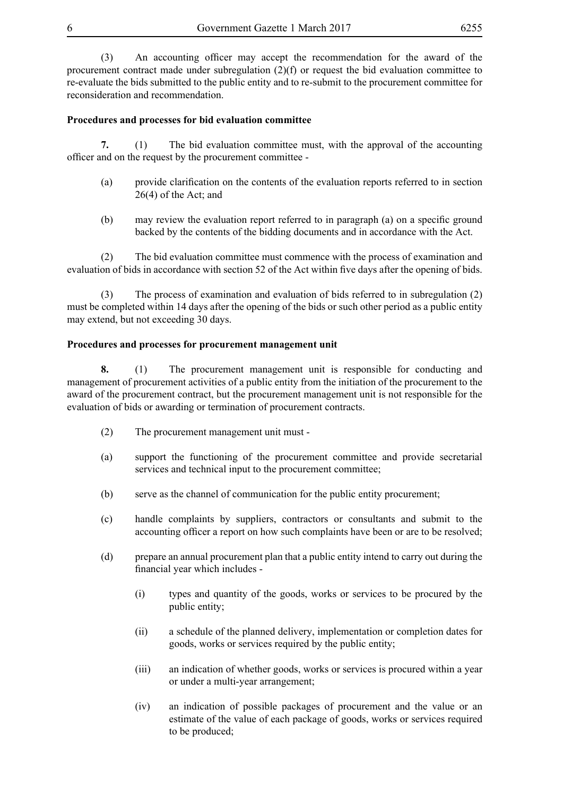(3) An accounting officer may accept the recommendation for the award of the procurement contract made under subregulation  $(2)(f)$  or request the bid evaluation committee to re-evaluate the bids submitted to the public entity and to re-submit to the procurement committee for reconsideration and recommendation.

#### **Procedures and processes for bid evaluation committee**

**7.** (1) The bid evaluation committee must, with the approval of the accounting officer and on the request by the procurement committee -

- (a) provide clarification on the contents of the evaluation reports referred to in section 26(4) of the Act; and
- (b) may review the evaluation report referred to in paragraph (a) on a specific ground backed by the contents of the bidding documents and in accordance with the Act.

(2) The bid evaluation committee must commence with the process of examination and evaluation of bids in accordance with section 52 of the Act within five days after the opening of bids.

The process of examination and evaluation of bids referred to in subregulation (2) must be completed within 14 days after the opening of the bids or such other period as a public entity may extend, but not exceeding 30 days.

#### **Procedures and processes for procurement management unit**

**8.** (1) The procurement management unit is responsible for conducting and management of procurement activities of a public entity from the initiation of the procurement to the award of the procurement contract, but the procurement management unit is not responsible for the evaluation of bids or awarding or termination of procurement contracts.

- (2) The procurement management unit must -
- (a) support the functioning of the procurement committee and provide secretarial services and technical input to the procurement committee;
- (b) serve as the channel of communication for the public entity procurement;
- (c) handle complaints by suppliers, contractors or consultants and submit to the accounting officer a report on how such complaints have been or are to be resolved;
- (d) prepare an annual procurement plan that a public entity intend to carry out during the financial year which includes -
	- (i) types and quantity of the goods, works or services to be procured by the public entity;
	- (ii) a schedule of the planned delivery, implementation or completion dates for goods, works or services required by the public entity;
	- (iii) an indication of whether goods, works or services is procured within a year or under a multi-year arrangement;
	- (iv) an indication of possible packages of procurement and the value or an estimate of the value of each package of goods, works or services required to be produced;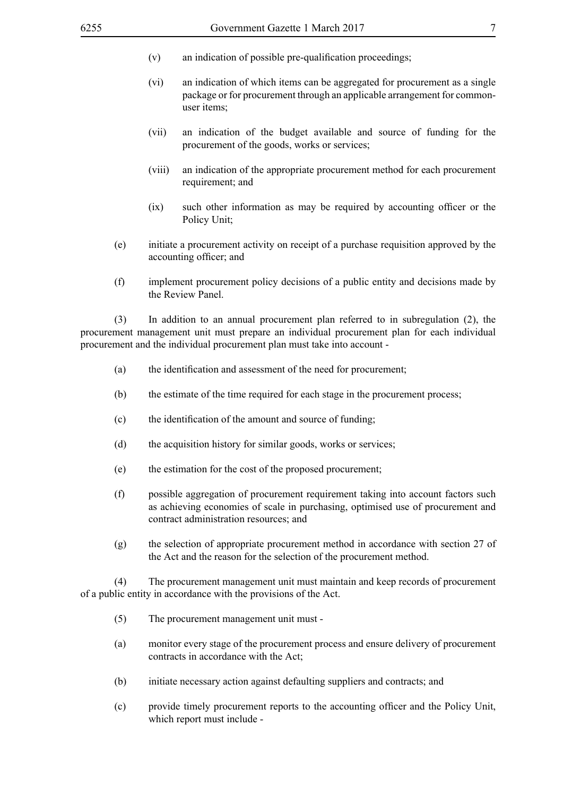- $(v)$  an indication of possible pre-qualification proceedings;
- (vi) an indication of which items can be aggregated for procurement as a single package or for procurement through an applicable arrangement for commonuser items;
- (vii) an indication of the budget available and source of funding for the procurement of the goods, works or services;
- (viii) an indication of the appropriate procurement method for each procurement requirement; and
- (ix) such other information as may be required by accounting officer or the Policy Unit;
- (e) initiate a procurement activity on receipt of a purchase requisition approved by the accounting officer; and
- (f) implement procurement policy decisions of a public entity and decisions made by the Review Panel.

(3) In addition to an annual procurement plan referred to in subregulation (2), the procurement management unit must prepare an individual procurement plan for each individual procurement and the individual procurement plan must take into account -

- (a) the identification and assessment of the need for procurement;
- (b) the estimate of the time required for each stage in the procurement process;
- (c) the identification of the amount and source of funding;
- (d) the acquisition history for similar goods, works or services;
- (e) the estimation for the cost of the proposed procurement;
- (f) possible aggregation of procurement requirement taking into account factors such as achieving economies of scale in purchasing, optimised use of procurement and contract administration resources; and
- (g) the selection of appropriate procurement method in accordance with section 27 of the Act and the reason for the selection of the procurement method.

(4) The procurement management unit must maintain and keep records of procurement of a public entity in accordance with the provisions of the Act.

- (5) The procurement management unit must -
- (a) monitor every stage of the procurement process and ensure delivery of procurement contracts in accordance with the Act;
- (b) initiate necessary action against defaulting suppliers and contracts; and
- (c) provide timely procurement reports to the accounting officer and the Policy Unit, which report must include -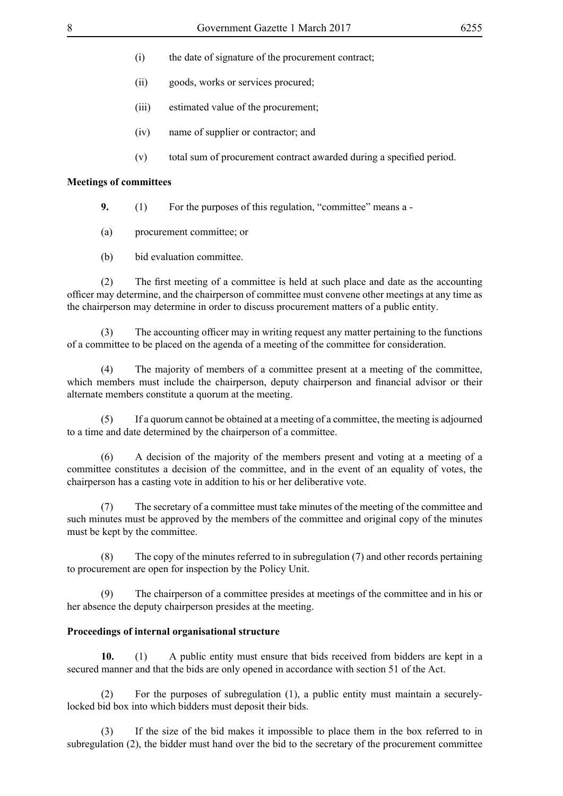- (i) the date of signature of the procurement contract;
- (ii) goods, works or services procured;
- (iii) estimated value of the procurement;
- (iv) name of supplier or contractor; and
- (v) total sum of procurement contract awarded during a specified period.

#### **Meetings of committees**

- **9.** (1) For the purposes of this regulation, "committee" means a -
- (a) procurement committee; or
- (b) bid evaluation committee.

(2) The first meeting of a committee is held at such place and date as the accounting officer may determine, and the chairperson of committee must convene other meetings at any time as the chairperson may determine in order to discuss procurement matters of a public entity.

(3) The accounting officer may in writing request any matter pertaining to the functions of a committee to be placed on the agenda of a meeting of the committee for consideration.

(4) The majority of members of a committee present at a meeting of the committee, which members must include the chairperson, deputy chairperson and financial advisor or their alternate members constitute a quorum at the meeting.

(5) If a quorum cannot be obtained at a meeting of a committee, the meeting is adjourned to a time and date determined by the chairperson of a committee.

(6) A decision of the majority of the members present and voting at a meeting of a committee constitutes a decision of the committee, and in the event of an equality of votes, the chairperson has a casting vote in addition to his or her deliberative vote.

(7) The secretary of a committee must take minutes of the meeting of the committee and such minutes must be approved by the members of the committee and original copy of the minutes must be kept by the committee.

(8) The copy of the minutes referred to in subregulation (7) and other records pertaining to procurement are open for inspection by the Policy Unit.

(9) The chairperson of a committee presides at meetings of the committee and in his or her absence the deputy chairperson presides at the meeting.

#### **Proceedings of internal organisational structure**

**10.** (1) A public entity must ensure that bids received from bidders are kept in a secured manner and that the bids are only opened in accordance with section 51 of the Act.

(2) For the purposes of subregulation (1), a public entity must maintain a securelylocked bid box into which bidders must deposit their bids.

(3) If the size of the bid makes it impossible to place them in the box referred to in subregulation (2), the bidder must hand over the bid to the secretary of the procurement committee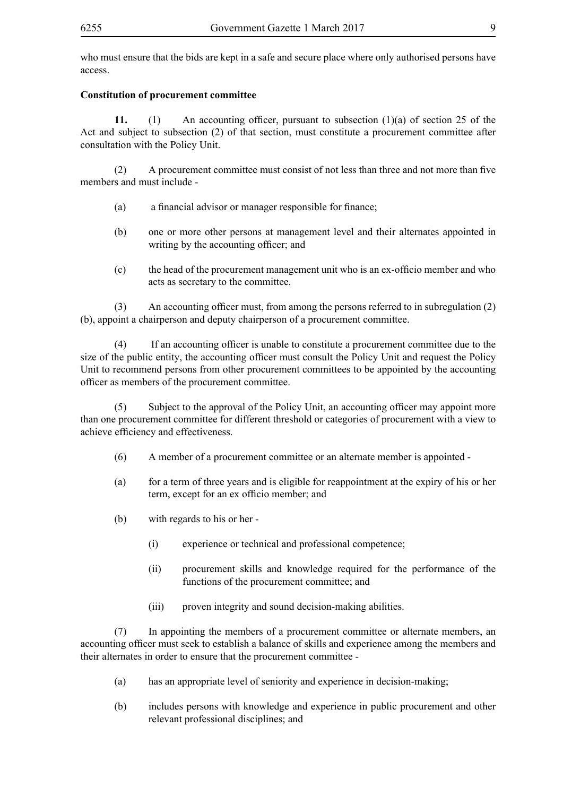#### **Constitution of procurement committee**

**11.** (1) An accounting officer, pursuant to subsection (1)(a) of section 25 of the Act and subject to subsection (2) of that section, must constitute a procurement committee after consultation with the Policy Unit.

(2) A procurement committee must consist of not less than three and not more than five members and must include -

- (a) a financial advisor or manager responsible for finance;
- (b) one or more other persons at management level and their alternates appointed in writing by the accounting officer; and
- (c) the head of the procurement management unit who is an ex-officio member and who acts as secretary to the committee.

 $(3)$  An accounting officer must, from among the persons referred to in subregulation  $(2)$ (b), appoint a chairperson and deputy chairperson of a procurement committee.

 (4) If an accounting officer is unable to constitute a procurement committee due to the size of the public entity, the accounting officer must consult the Policy Unit and request the Policy Unit to recommend persons from other procurement committees to be appointed by the accounting officer as members of the procurement committee.

(5) Subject to the approval of the Policy Unit, an accounting officer may appoint more than one procurement committee for different threshold or categories of procurement with a view to achieve efficiency and effectiveness.

- (6) A member of a procurement committee or an alternate member is appointed -
- (a) for a term of three years and is eligible for reappointment at the expiry of his or her term, except for an ex officio member; and
- (b) with regards to his or her
	- (i) experience or technical and professional competence;
	- (ii) procurement skills and knowledge required for the performance of the functions of the procurement committee; and
	- (iii) proven integrity and sound decision-making abilities.

(7) In appointing the members of a procurement committee or alternate members, an accounting officer must seek to establish a balance of skills and experience among the members and their alternates in order to ensure that the procurement committee -

- (a) has an appropriate level of seniority and experience in decision-making;
- (b) includes persons with knowledge and experience in public procurement and other relevant professional disciplines; and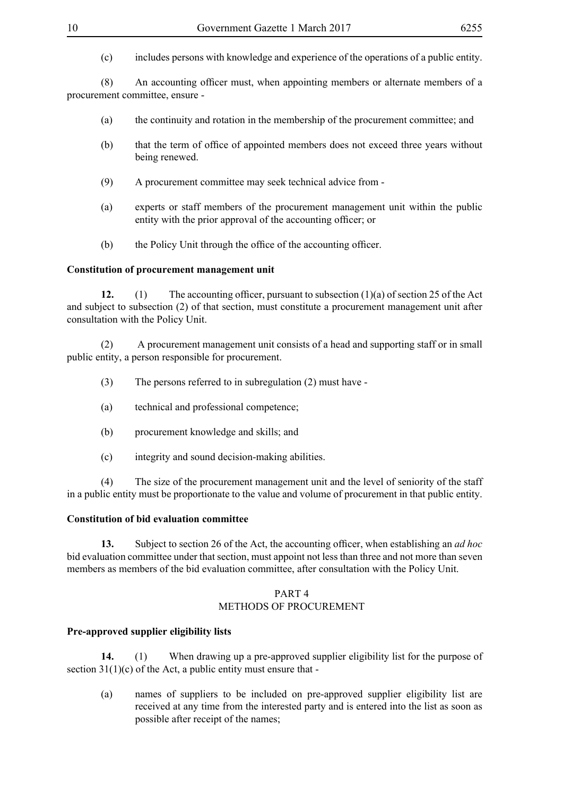(c) includes persons with knowledge and experience of the operations of a public entity.

(8) An accounting officer must, when appointing members or alternate members of a procurement committee, ensure -

- (a) the continuity and rotation in the membership of the procurement committee; and
- (b) that the term of office of appointed members does not exceed three years without being renewed.
- (9) A procurement committee may seek technical advice from -
- (a) experts or staff members of the procurement management unit within the public entity with the prior approval of the accounting officer; or
- (b) the Policy Unit through the office of the accounting officer.

#### **Constitution of procurement management unit**

**12.** (1) The accounting officer, pursuant to subsection  $(1)(a)$  of section 25 of the Act and subject to subsection (2) of that section, must constitute a procurement management unit after consultation with the Policy Unit.

(2) A procurement management unit consists of a head and supporting staff or in small public entity, a person responsible for procurement.

- (3) The persons referred to in subregulation (2) must have -
- (a) technical and professional competence;
- (b) procurement knowledge and skills; and
- (c) integrity and sound decision-making abilities.

(4) The size of the procurement management unit and the level of seniority of the staff in a public entity must be proportionate to the value and volume of procurement in that public entity.

## **Constitution of bid evaluation committee**

**13.** Subject to section 26 of the Act, the accounting officer, when establishing an *ad hoc*  bid evaluation committee under that section, must appoint not less than three and not more than seven members as members of the bid evaluation committee, after consultation with the Policy Unit.

#### PART 4 METHODS OF PROCUREMENT

#### **Pre-approved supplier eligibility lists**

**14.** (1) When drawing up a pre-approved supplier eligibility list for the purpose of section  $31(1)(c)$  of the Act, a public entity must ensure that -

(a) names of suppliers to be included on pre-approved supplier eligibility list are received at any time from the interested party and is entered into the list as soon as possible after receipt of the names;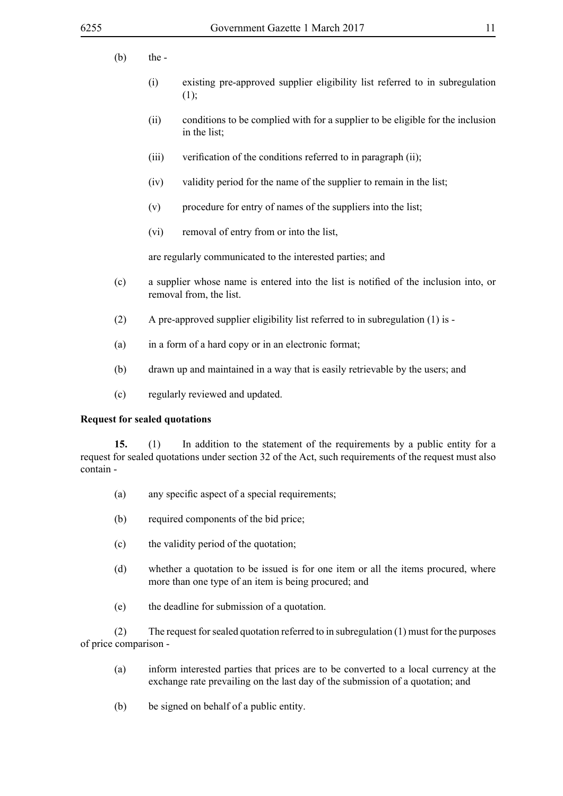- $(b)$  the -
	- (i) existing pre-approved supplier eligibility list referred to in subregulation (1);
	- (ii) conditions to be complied with for a supplier to be eligible for the inclusion in the list:
	- (iii) verification of the conditions referred to in paragraph (ii);
	- (iv) validity period for the name of the supplier to remain in the list;
	- (v) procedure for entry of names of the suppliers into the list;
	- (vi) removal of entry from or into the list,

are regularly communicated to the interested parties; and

- (c) a supplier whose name is entered into the list is notified of the inclusion into, or removal from, the list.
- (2) A pre-approved supplier eligibility list referred to in subregulation (1) is -
- (a) in a form of a hard copy or in an electronic format;
- (b) drawn up and maintained in a way that is easily retrievable by the users; and
- (c) regularly reviewed and updated.

#### **Request for sealed quotations**

**15.** (1) In addition to the statement of the requirements by a public entity for a request for sealed quotations under section 32 of the Act, such requirements of the request must also contain -

- (a) any specific aspect of a special requirements;
- (b) required components of the bid price;
- (c) the validity period of the quotation;
- (d) whether a quotation to be issued is for one item or all the items procured, where more than one type of an item is being procured; and
- (e) the deadline for submission of a quotation.

(2) The request for sealed quotation referred to in subregulation (1) must for the purposes of price comparison -

- (a) inform interested parties that prices are to be converted to a local currency at the exchange rate prevailing on the last day of the submission of a quotation; and
- (b) be signed on behalf of a public entity.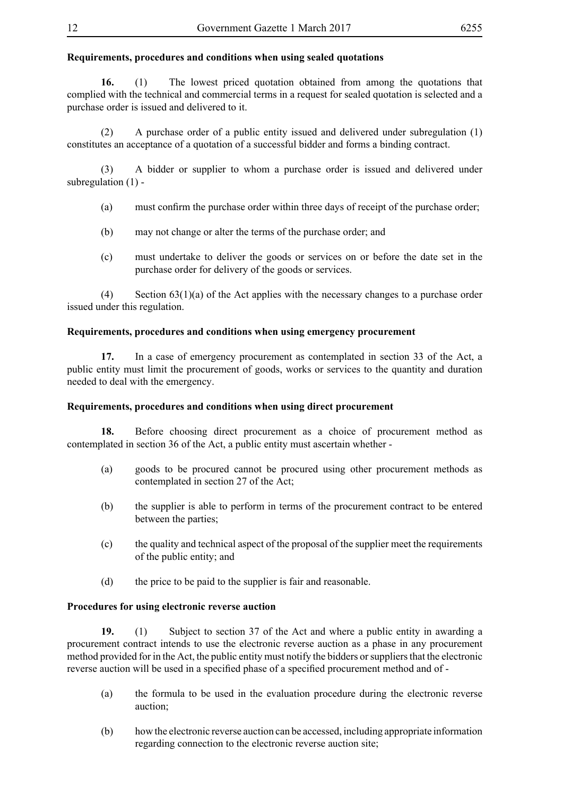## **Requirements, procedures and conditions when using sealed quotations**

**16.** (1) The lowest priced quotation obtained from among the quotations that complied with the technical and commercial terms in a request for sealed quotation is selected and a purchase order is issued and delivered to it.

(2) A purchase order of a public entity issued and delivered under subregulation (1) constitutes an acceptance of a quotation of a successful bidder and forms a binding contract.

(3) A bidder or supplier to whom a purchase order is issued and delivered under subregulation  $(1)$  -

- (a) must confirm the purchase order within three days of receipt of the purchase order;
- (b) may not change or alter the terms of the purchase order; and
- (c) must undertake to deliver the goods or services on or before the date set in the purchase order for delivery of the goods or services.

(4) Section  $63(1)(a)$  of the Act applies with the necessary changes to a purchase order issued under this regulation.

#### **Requirements, procedures and conditions when using emergency procurement**

**17.** In a case of emergency procurement as contemplated in section 33 of the Act, a public entity must limit the procurement of goods, works or services to the quantity and duration needed to deal with the emergency.

#### **Requirements, procedures and conditions when using direct procurement**

**18.** Before choosing direct procurement as a choice of procurement method as contemplated in section 36 of the Act, a public entity must ascertain whether -

- (a) goods to be procured cannot be procured using other procurement methods as contemplated in section 27 of the Act;
- (b) the supplier is able to perform in terms of the procurement contract to be entered between the parties;
- (c) the quality and technical aspect of the proposal of the supplier meet the requirements of the public entity; and
- (d) the price to be paid to the supplier is fair and reasonable.

#### **Procedures for using electronic reverse auction**

**19.** (1) Subject to section 37 of the Act and where a public entity in awarding a procurement contract intends to use the electronic reverse auction as a phase in any procurement method provided for in the Act, the public entity must notify the bidders or suppliers that the electronic reverse auction will be used in a specified phase of a specified procurement method and of -

- (a) the formula to be used in the evaluation procedure during the electronic reverse auction;
- (b) how the electronic reverse auction can be accessed, including appropriate information regarding connection to the electronic reverse auction site;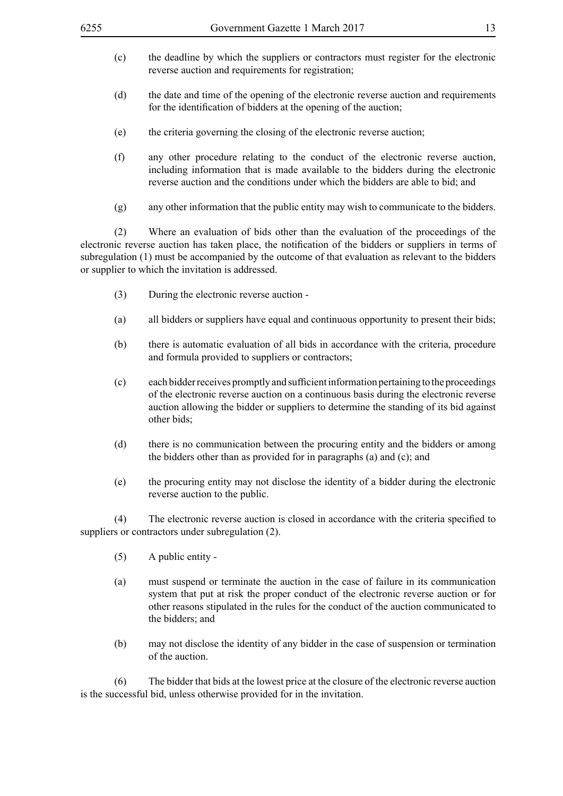- (c) the deadline by which the suppliers or contractors must register for the electronic reverse auction and requirements for registration:
- (d) the date and time of the opening of the electronic reverse auction and requirements for the identification of bidders at the opening of the auction;
- (e) the criteria governing the closing of the electronic reverse auction;
- (f) any other procedure relating to the conduct of the electronic reverse auction, including information that is made available to the bidders during the electronic reverse auction and the conditions under which the bidders are able to bid; and
- (g) any other information that the public entity may wish to communicate to the bidders.

(2) Where an evaluation of bids other than the evaluation of the proceedings of the electronic reverse auction has taken place, the notification of the bidders or suppliers in terms of subregulation (1) must be accompanied by the outcome of that evaluation as relevant to the bidders or supplier to which the invitation is addressed.

- (3) During the electronic reverse auction -
- (a) all bidders or suppliers have equal and continuous opportunity to present their bids;
- (b) there is automatic evaluation of all bids in accordance with the criteria, procedure and formula provided to suppliers or contractors;
- (c) each bidderreceives promptly and sufficientinformation pertaining to the proceedings of the electronic reverse auction on a continuous basis during the electronic reverse auction allowing the bidder or suppliers to determine the standing of its bid against other bids;
- (d) there is no communication between the procuring entity and the bidders or among the bidders other than as provided for in paragraphs (a) and (c); and
- (e) the procuring entity may not disclose the identity of a bidder during the electronic reverse auction to the public.

(4) The electronic reverse auction is closed in accordance with the criteria specified to suppliers or contractors under subregulation  $(2)$ .

- (5) A public entity -
- (a) must suspend or terminate the auction in the case of failure in its communication system that put at risk the proper conduct of the electronic reverse auction or for other reasons stipulated in the rules for the conduct of the auction communicated to the bidders; and
- (b) may not disclose the identity of any bidder in the case of suspension or termination of the auction.

(6) The bidder that bids at the lowest price at the closure of the electronic reverse auction is the successful bid, unless otherwise provided for in the invitation.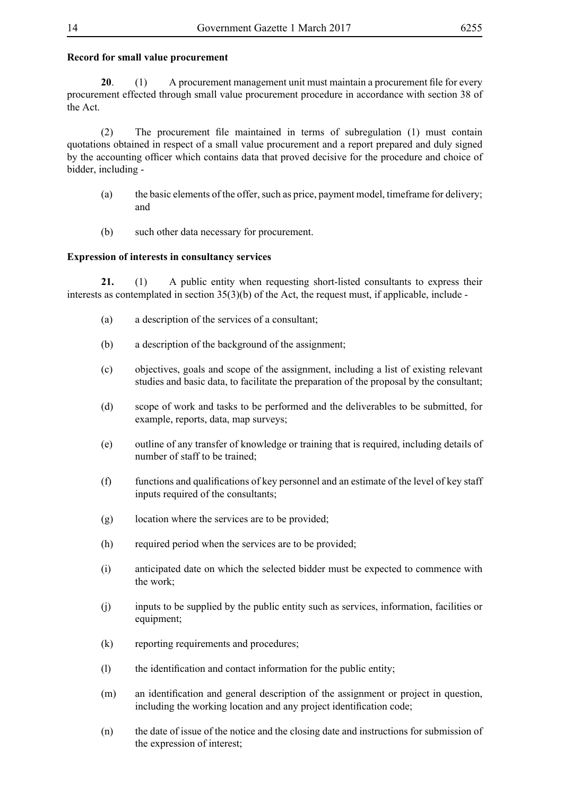#### **Record for small value procurement**

**20.** (1) A procurement management unit must maintain a procurement file for every procurement effected through small value procurement procedure in accordance with section 38 of the Act.

(2) The procurement file maintained in terms of subregulation (1) must contain quotations obtained in respect of a small value procurement and a report prepared and duly signed by the accounting officer which contains data that proved decisive for the procedure and choice of bidder, including -

- (a) the basic elements of the offer, such as price, payment model, timeframe for delivery; and
- (b) such other data necessary for procurement.

#### **Expression of interests in consultancy services**

**21.** (1) A public entity when requesting short-listed consultants to express their interests as contemplated in section 35(3)(b) of the Act, the request must, if applicable, include -

- (a) a description of the services of a consultant;
- (b) a description of the background of the assignment;
- (c) objectives, goals and scope of the assignment, including a list of existing relevant studies and basic data, to facilitate the preparation of the proposal by the consultant;
- (d) scope of work and tasks to be performed and the deliverables to be submitted, for example, reports, data, map surveys;
- (e) outline of any transfer of knowledge or training that is required, including details of number of staff to be trained;
- $(f)$  functions and qualifications of key personnel and an estimate of the level of key staff inputs required of the consultants;
- $(g)$  location where the services are to be provided;
- (h) required period when the services are to be provided;
- (i) anticipated date on which the selected bidder must be expected to commence with the work;
- (j) inputs to be supplied by the public entity such as services, information, facilities or equipment;
- (k) reporting requirements and procedures;
- (I) the identification and contact information for the public entity;
- (m) an identification and general description of the assignment or project in question, including the working location and any project identification code;
- (n) the date of issue of the notice and the closing date and instructions for submission of the expression of interest;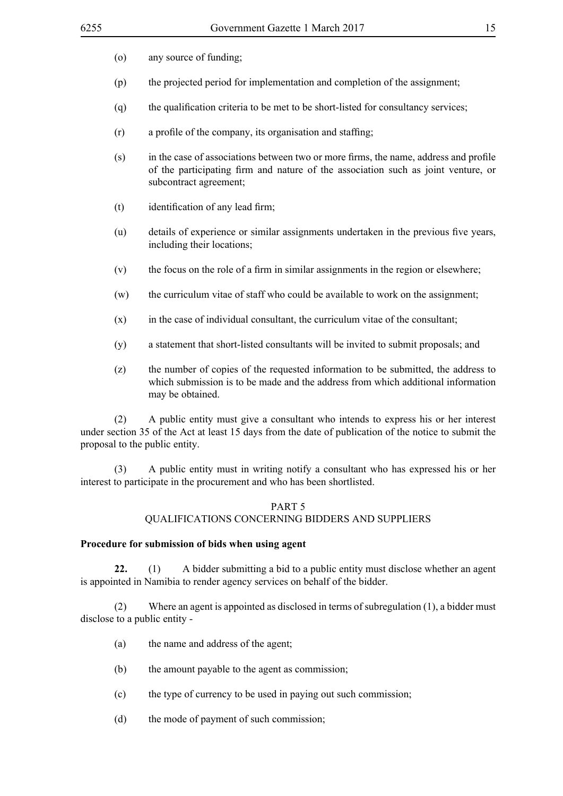- (o) any source of funding;
- (p) the projected period for implementation and completion of the assignment;
- (q) the qualification criteria to be met to be short-listed for consultancy services;
- $(r)$  a profile of the company, its organisation and staffing;
- (s) in the case of associations between two or more firms, the name, address and profile of the participating firm and nature of the association such as joint venture, or subcontract agreement;
- (t) identification of any lead firm;
- (u) details of experience or similar assignments undertaken in the previous five years, including their locations;
- $(v)$  the focus on the role of a firm in similar assignments in the region or elsewhere;
- $(w)$  the curriculum vitae of staff who could be available to work on the assignment;
- $(x)$  in the case of individual consultant, the curriculum vitae of the consultant;
- (y) a statement that short-listed consultants will be invited to submit proposals; and
- (z) the number of copies of the requested information to be submitted, the address to which submission is to be made and the address from which additional information may be obtained.

(2) A public entity must give a consultant who intends to express his or her interest under section 35 of the Act at least 15 days from the date of publication of the notice to submit the proposal to the public entity.

(3) A public entity must in writing notify a consultant who has expressed his or her interest to participate in the procurement and who has been shortlisted.

## PART 5 QUALIFICATIONS CONCERNING BIDDERS AND SUPPLIERS

#### **Procedure for submission of bids when using agent**

**22.** (1) A bidder submitting a bid to a public entity must disclose whether an agent is appointed in Namibia to render agency services on behalf of the bidder.

(2) Where an agent is appointed as disclosed in terms of subregulation (1), a bidder must disclose to a public entity -

- (a) the name and address of the agent;
- (b) the amount payable to the agent as commission;
- (c) the type of currency to be used in paying out such commission;
- (d) the mode of payment of such commission;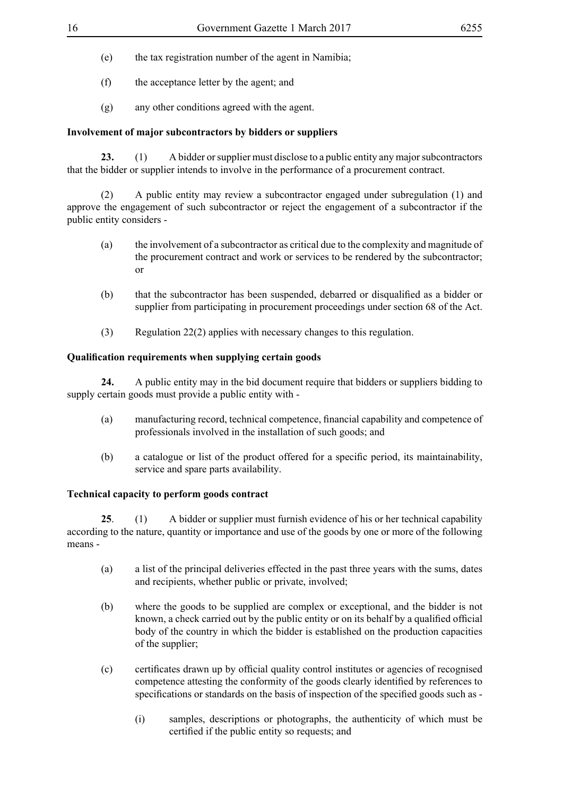- (e) the tax registration number of the agent in Namibia;
- (f) the acceptance letter by the agent; and
- (g) any other conditions agreed with the agent.

#### **Involvement of major subcontractors by bidders or suppliers**

**23.** (1) A bidder or supplier must disclose to a public entity any major subcontractors that the bidder or supplier intends to involve in the performance of a procurement contract.

(2) A public entity may review a subcontractor engaged under subregulation (1) and approve the engagement of such subcontractor or reject the engagement of a subcontractor if the public entity considers -

- (a) the involvement of a subcontractor as critical due to the complexity and magnitude of the procurement contract and work or services to be rendered by the subcontractor; or
- (b) that the subcontractor has been suspended, debarred or disqualified as a bidder or supplier from participating in procurement proceedings under section 68 of the Act.
- (3) Regulation 22(2) applies with necessary changes to this regulation.

#### **Qualification requirements when supplying certain goods**

**24.** A public entity may in the bid document require that bidders or suppliers bidding to supply certain goods must provide a public entity with -

- (a) manufacturing record, technical competence, financial capability and competence of professionals involved in the installation of such goods; and
- (b) a catalogue or list of the product offered for a specific period, its maintainability, service and spare parts availability.

#### **Technical capacity to perform goods contract**

**25**. (1) A bidder or supplier must furnish evidence of his or her technical capability according to the nature, quantity or importance and use of the goods by one or more of the following means -

- (a) a list of the principal deliveries effected in the past three years with the sums, dates and recipients, whether public or private, involved;
- (b) where the goods to be supplied are complex or exceptional, and the bidder is not known, a check carried out by the public entity or on its behalf by a qualified official body of the country in which the bidder is established on the production capacities of the supplier;
- (c) certificates drawn up by official quality control institutes or agencies of recognised competence attesting the conformity of the goods clearly identified by references to specifications or standards on the basis of inspection of the specified goods such as -
	- (i) samples, descriptions or photographs, the authenticity of which must be certified if the public entity so requests; and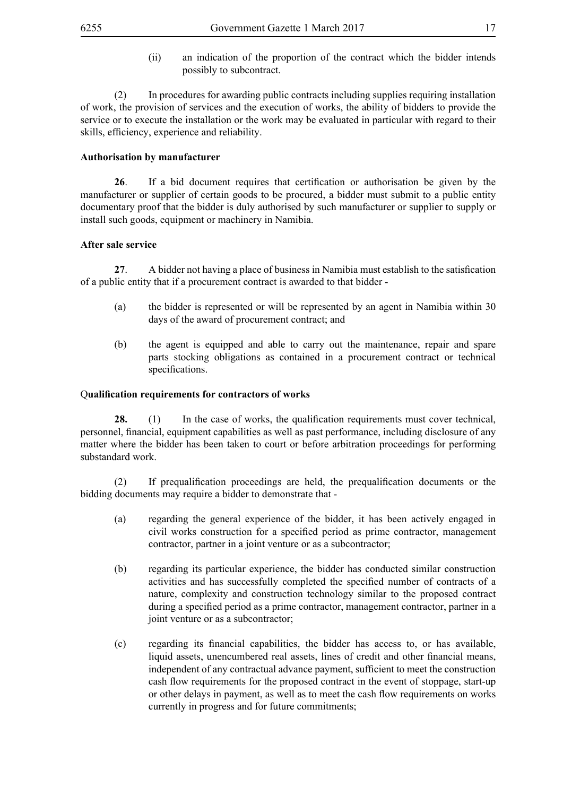(ii) an indication of the proportion of the contract which the bidder intends possibly to subcontract.

(2) In procedures for awarding public contracts including supplies requiring installation of work, the provision of services and the execution of works, the ability of bidders to provide the service or to execute the installation or the work may be evaluated in particular with regard to their skills, efficiency, experience and reliability.

#### **Authorisation by manufacturer**

**26**. If a bid document requires that certification or authorisation be given by the manufacturer or supplier of certain goods to be procured, a bidder must submit to a public entity documentary proof that the bidder is duly authorised by such manufacturer or supplier to supply or install such goods, equipment or machinery in Namibia.

#### **After sale service**

**27**. A bidder not having a place of business in Namibia must establish to the satisfication of a public entity that if a procurement contract is awarded to that bidder -

- (a) the bidder is represented or will be represented by an agent in Namibia within 30 days of the award of procurement contract; and
- (b) the agent is equipped and able to carry out the maintenance, repair and spare parts stocking obligations as contained in a procurement contract or technical specifications.

#### Q**ualification requirements for contractors of works**

**28.** (1) In the case of works, the qualification requirements must cover technical, personnel, financial, equipment capabilities as well as past performance, including disclosure of any matter where the bidder has been taken to court or before arbitration proceedings for performing substandard work.

(2) If prequalification proceedings are held, the prequalification documents or the bidding documents may require a bidder to demonstrate that -

- (a) regarding the general experience of the bidder, it has been actively engaged in civil works construction for a specified period as prime contractor, management contractor, partner in a joint venture or as a subcontractor;
- (b) regarding its particular experience, the bidder has conducted similar construction activities and has successfully completed the specified number of contracts of a nature, complexity and construction technology similar to the proposed contract during a specified period as a prime contractor, management contractor, partner in a joint venture or as a subcontractor;
- (c) regarding its financial capabilities, the bidder has access to, or has available, liquid assets, unencumbered real assets, lines of credit and other financial means, independent of any contractual advance payment, sufficient to meet the construction cash flow requirements for the proposed contract in the event of stoppage, start-up or other delays in payment, as well as to meet the cash flow requirements on works currently in progress and for future commitments;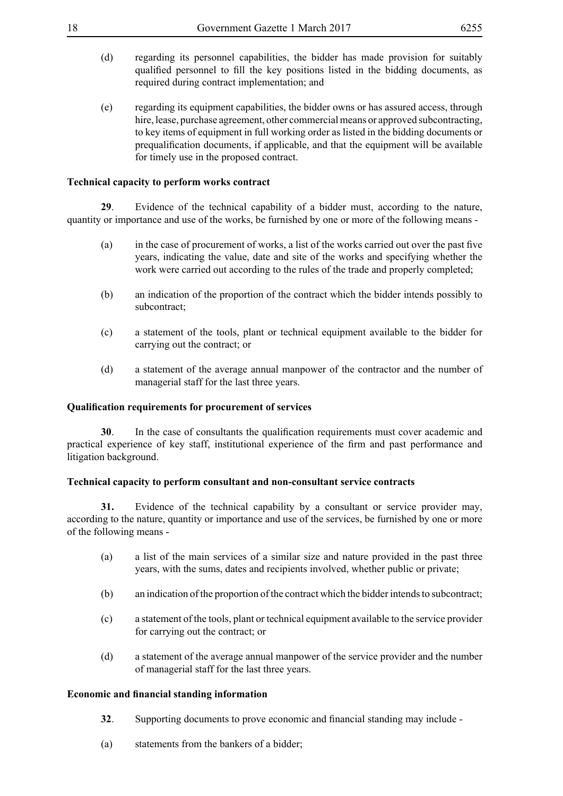- (d) regarding its personnel capabilities, the bidder has made provision for suitably qualified personnel to fill the key positions listed in the bidding documents, as required during contract implementation; and
- (e) regarding its equipment capabilities, the bidder owns or has assured access, through hire, lease, purchase agreement, other commercial means or approved subcontracting, to key items of equipment in full working order as listed in the bidding documents or prequalification documents, if applicable, and that the equipment will be available for timely use in the proposed contract.

#### **Technical capacity to perform works contract**

**29**. Evidence of the technical capability of a bidder must, according to the nature, quantity or importance and use of the works, be furnished by one or more of the following means -

- (a) in the case of procurement of works, a list of the works carried out over the past five years, indicating the value, date and site of the works and specifying whether the work were carried out according to the rules of the trade and properly completed;
- (b) an indication of the proportion of the contract which the bidder intends possibly to subcontract;
- (c) a statement of the tools, plant or technical equipment available to the bidder for carrying out the contract; or
- (d) a statement of the average annual manpower of the contractor and the number of managerial staff for the last three years.

#### **Qualification requirements for procurement of services**

**30**. In the case of consultants the qualification requirements must cover academic and practical experience of key staff, institutional experience of the firm and past performance and litigation background.

#### **Technical capacity to perform consultant and non-consultant service contracts**

**31.** Evidence of the technical capability by a consultant or service provider may, according to the nature, quantity or importance and use of the services, be furnished by one or more of the following means -

- (a) a list of the main services of a similar size and nature provided in the past three years, with the sums, dates and recipients involved, whether public or private;
- (b) an indication of the proportion of the contract which the bidder intends to subcontract;
- (c) a statement of the tools, plant or technical equipment available to the service provider for carrying out the contract; or
- (d) a statement of the average annual manpower of the service provider and the number of managerial staff for the last three years.

#### **Economic and financial standing information**

- **32**. Supporting documents to prove economic and financial standing may include -
- (a) statements from the bankers of a bidder;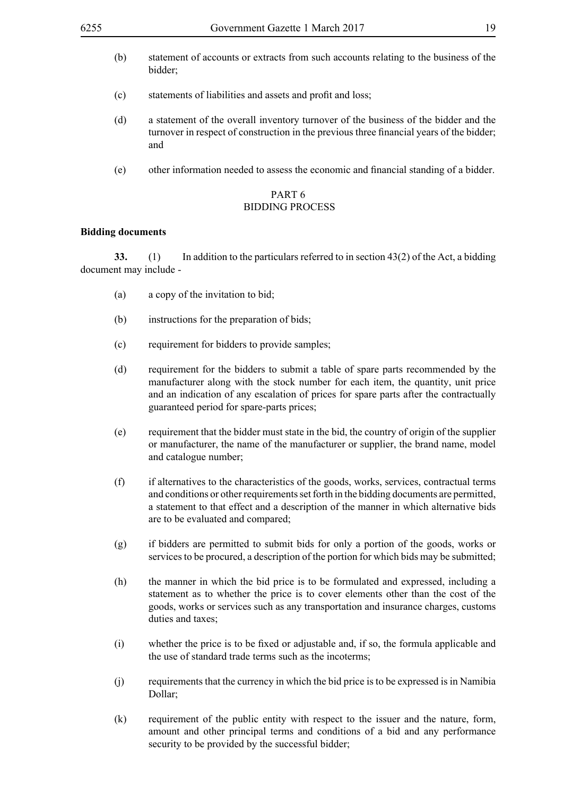- (b) statement of accounts or extracts from such accounts relating to the business of the bidder;
- (c) statements of liabilities and assets and profit and loss;
- (d) a statement of the overall inventory turnover of the business of the bidder and the turnover in respect of construction in the previous three financial years of the bidder; and
- (e) other information needed to assess the economic and financial standing of a bidder.

#### PART 6 BIDDING PROCESS

#### **Bidding documents**

**33.** (1) In addition to the particulars referred to in section 43(2) of the Act, a bidding document may include -

- (a) a copy of the invitation to bid;
- (b) instructions for the preparation of bids;
- (c) requirement for bidders to provide samples;
- (d) requirement for the bidders to submit a table of spare parts recommended by the manufacturer along with the stock number for each item, the quantity, unit price and an indication of any escalation of prices for spare parts after the contractually guaranteed period for spare-parts prices;
- (e) requirement that the bidder must state in the bid, the country of origin of the supplier or manufacturer, the name of the manufacturer or supplier, the brand name, model and catalogue number;
- (f) if alternatives to the characteristics of the goods, works, services, contractual terms and conditions or other requirements set forth in the bidding documents are permitted, a statement to that effect and a description of the manner in which alternative bids are to be evaluated and compared;
- (g) if bidders are permitted to submit bids for only a portion of the goods, works or services to be procured, a description of the portion for which bids may be submitted;
- (h) the manner in which the bid price is to be formulated and expressed, including a statement as to whether the price is to cover elements other than the cost of the goods, works or services such as any transportation and insurance charges, customs duties and taxes;
- (i) whether the price is to be fixed or adjustable and, if so, the formula applicable and the use of standard trade terms such as the incoterms;
- (j) requirements that the currency in which the bid price is to be expressed is in Namibia Dollar;
- (k) requirement of the public entity with respect to the issuer and the nature, form, amount and other principal terms and conditions of a bid and any performance security to be provided by the successful bidder;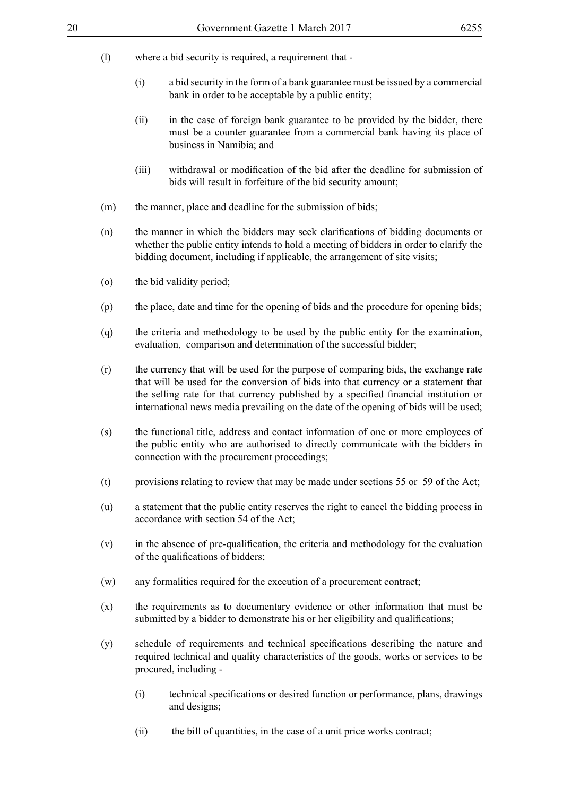- (l) where a bid security is required, a requirement that
	- (i) a bid security in the form of a bank guarantee must be issued by a commercial bank in order to be acceptable by a public entity;
	- (ii) in the case of foreign bank guarantee to be provided by the bidder, there must be a counter guarantee from a commercial bank having its place of business in Namibia; and
	- (iii) withdrawal or modification of the bid after the deadline for submission of bids will result in forfeiture of the bid security amount;
- (m) the manner, place and deadline for the submission of bids;
- (n) the manner in which the bidders may seek clarifications of bidding documents or whether the public entity intends to hold a meeting of bidders in order to clarify the bidding document, including if applicable, the arrangement of site visits;
- (o) the bid validity period;
- (p) the place, date and time for the opening of bids and the procedure for opening bids;
- (q) the criteria and methodology to be used by the public entity for the examination, evaluation, comparison and determination of the successful bidder;
- (r) the currency that will be used for the purpose of comparing bids, the exchange rate that will be used for the conversion of bids into that currency or a statement that the selling rate for that currency published by a specified financial institution or international news media prevailing on the date of the opening of bids will be used;
- (s) the functional title, address and contact information of one or more employees of the public entity who are authorised to directly communicate with the bidders in connection with the procurement proceedings;
- (t) provisions relating to review that may be made under sections 55 or 59 of the Act;
- (u) a statement that the public entity reserves the right to cancel the bidding process in accordance with section 54 of the Act;
- $(v)$  in the absence of pre-qualification, the criteria and methodology for the evaluation of the qualifications of bidders;
- (w) any formalities required for the execution of a procurement contract;
- (x) the requirements as to documentary evidence or other information that must be submitted by a bidder to demonstrate his or her eligibility and qualifications;
- (y) schedule of requirements and technical specifications describing the nature and required technical and quality characteristics of the goods, works or services to be procured, including -
	- (i) technical specifications or desired function or performance, plans, drawings and designs;
	- (ii) the bill of quantities, in the case of a unit price works contract;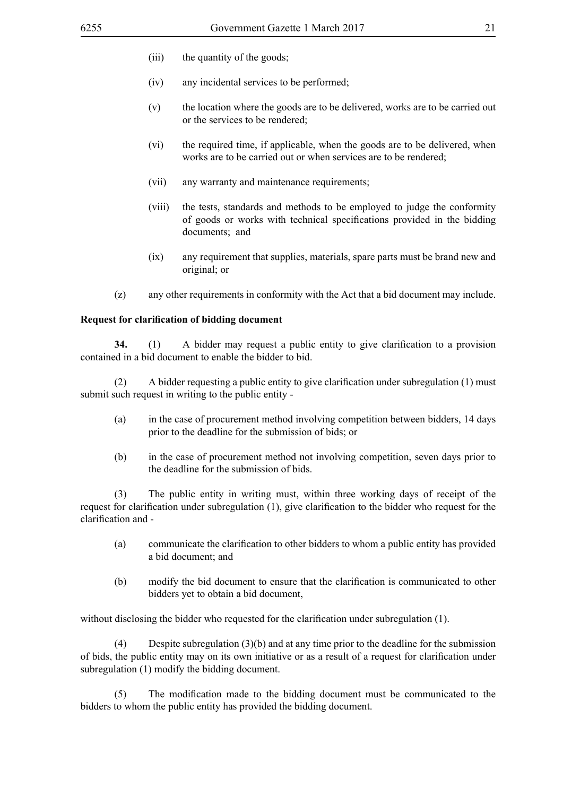- (iii) the quantity of the goods;
- (iv) any incidental services to be performed;
- (v) the location where the goods are to be delivered, works are to be carried out or the services to be rendered;
- (vi) the required time, if applicable, when the goods are to be delivered, when works are to be carried out or when services are to be rendered;
- (vii) any warranty and maintenance requirements;
- (viii) the tests, standards and methods to be employed to judge the conformity of goods or works with technical specifications provided in the bidding documents; and
- (ix) any requirement that supplies, materials, spare parts must be brand new and original; or
- (z) any other requirements in conformity with the Act that a bid document may include.

#### **Request for clarification of bidding document**

**34.** (1) A bidder may request a public entity to give clarification to a provision contained in a bid document to enable the bidder to bid.

(2) A bidder requesting a public entity to give clarification under subregulation (1) must submit such request in writing to the public entity -

- (a) in the case of procurement method involving competition between bidders, 14 days prior to the deadline for the submission of bids; or
- (b) in the case of procurement method not involving competition, seven days prior to the deadline for the submission of bids.

(3) The public entity in writing must, within three working days of receipt of the request for clarification under subregulation (1), give clarification to the bidder who request for the clarification and -

- (a) communicate the clarification to other bidders to whom a public entity has provided a bid document; and
- (b) modify the bid document to ensure that the clarification is communicated to other bidders yet to obtain a bid document,

without disclosing the bidder who requested for the clarification under subregulation (1).

(4) Despite subregulation (3)(b) and at any time prior to the deadline for the submission of bids, the public entity may on its own initiative or as a result of a request for clarification under subregulation (1) modify the bidding document.

(5) The modification made to the bidding document must be communicated to the bidders to whom the public entity has provided the bidding document.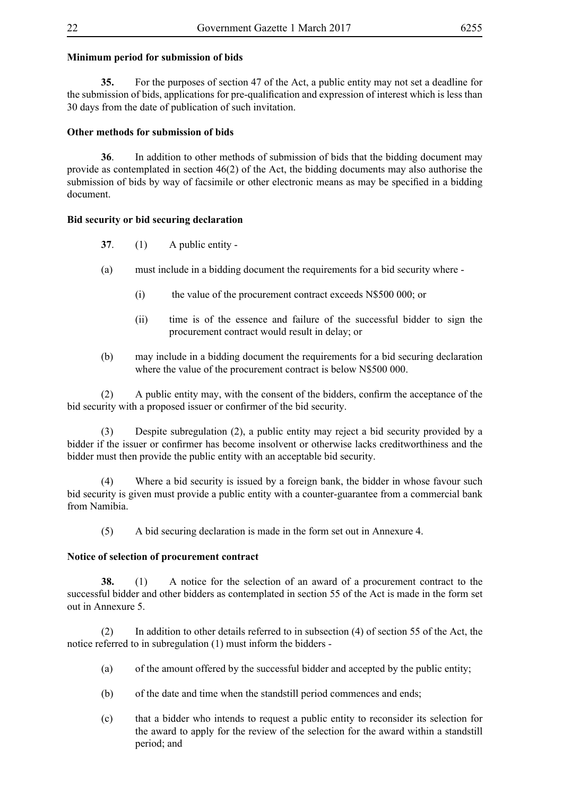# **Minimum period for submission of bids**

**35.** For the purposes of section 47 of the Act, a public entity may not set a deadline for the submission of bids, applications for pre-qualification and expression of interest which is less than 30 days from the date of publication of such invitation.

# **Other methods for submission of bids**

**36**. In addition to other methods of submission of bids that the bidding document may provide as contemplated in section 46(2) of the Act, the bidding documents may also authorise the submission of bids by way of facsimile or other electronic means as may be specified in a bidding document.

#### **Bid security or bid securing declaration**

- **37**. (1) A public entity -
- (a) must include in a bidding document the requirements for a bid security where
	- (i) the value of the procurement contract exceeds N\$500 000; or
	- (ii) time is of the essence and failure of the successful bidder to sign the procurement contract would result in delay; or
- (b) may include in a bidding document the requirements for a bid securing declaration where the value of the procurement contract is below N\$500 000.

 (2) A public entity may, with the consent of the bidders, confirm the acceptance of the bid security with a proposed issuer or confirmer of the bid security.

(3) Despite subregulation (2), a public entity may reject a bid security provided by a bidder if the issuer or confirmer has become insolvent or otherwise lacks creditworthiness and the bidder must then provide the public entity with an acceptable bid security.

(4) Where a bid security is issued by a foreign bank, the bidder in whose favour such bid security is given must provide a public entity with a counter-guarantee from a commercial bank from Namibia.

(5) A bid securing declaration is made in the form set out in Annexure 4.

# **Notice of selection of procurement contract**

**38.** (1) A notice for the selection of an award of a procurement contract to the successful bidder and other bidders as contemplated in section 55 of the Act is made in the form set out in Annexure 5.

(2) In addition to other details referred to in subsection (4) of section 55 of the Act, the notice referred to in subregulation (1) must inform the bidders -

- (a) of the amount offered by the successful bidder and accepted by the public entity;
- (b) of the date and time when the standstill period commences and ends;
- (c) that a bidder who intends to request a public entity to reconsider its selection for the award to apply for the review of the selection for the award within a standstill period; and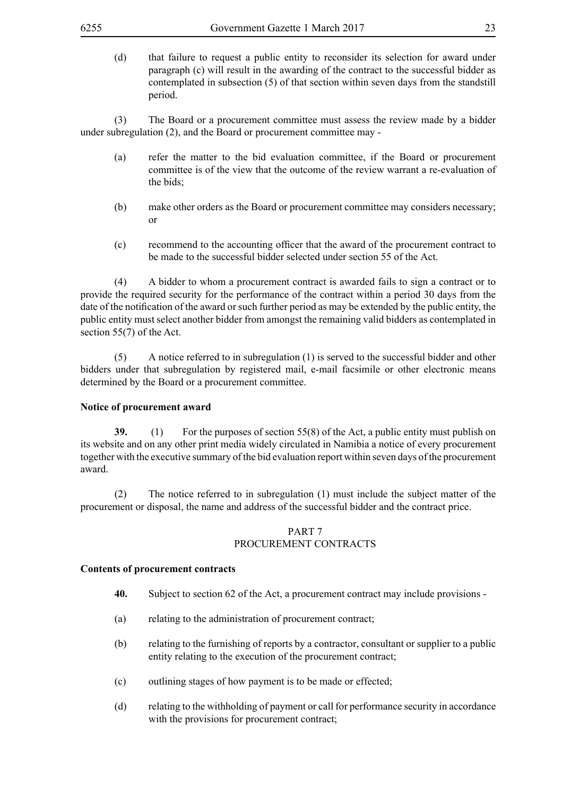(d) that failure to request a public entity to reconsider its selection for award under paragraph (c) will result in the awarding of the contract to the successful bidder as contemplated in subsection (5) of that section within seven days from the standstill period.

(3) The Board or a procurement committee must assess the review made by a bidder under subregulation (2), and the Board or procurement committee may -

- (a) refer the matter to the bid evaluation committee, if the Board or procurement committee is of the view that the outcome of the review warrant a re-evaluation of the bids;
- (b) make other orders as the Board or procurement committee may considers necessary; or
- (c) recommend to the accounting officer that the award of the procurement contract to be made to the successful bidder selected under section 55 of the Act.

(4) A bidder to whom a procurement contract is awarded fails to sign a contract or to provide the required security for the performance of the contract within a period 30 days from the date of the notification of the award or such further period as may be extended by the public entity, the public entity must select another bidder from amongst the remaining valid bidders as contemplated in section 55(7) of the Act.

(5) A notice referred to in subregulation (1) is served to the successful bidder and other bidders under that subregulation by registered mail, e-mail facsimile or other electronic means determined by the Board or a procurement committee.

#### **Notice of procurement award**

**39.** (1) For the purposes of section 55(8) of the Act, a public entity must publish on its website and on any other print media widely circulated in Namibia a notice of every procurement together with the executive summary of the bid evaluation report within seven days of the procurement award.

(2) The notice referred to in subregulation (1) must include the subject matter of the procurement or disposal, the name and address of the successful bidder and the contract price.

#### PART 7 PROCUREMENT CONTRACTS

#### **Contents of procurement contracts**

- **40.** Subject to section 62 of the Act, a procurement contract may include provisions -
- (a) relating to the administration of procurement contract;
- (b) relating to the furnishing of reports by a contractor, consultant or supplier to a public entity relating to the execution of the procurement contract;
- (c) outlining stages of how payment is to be made or effected;
- (d) relating to the withholding of payment or call for performance security in accordance with the provisions for procurement contract;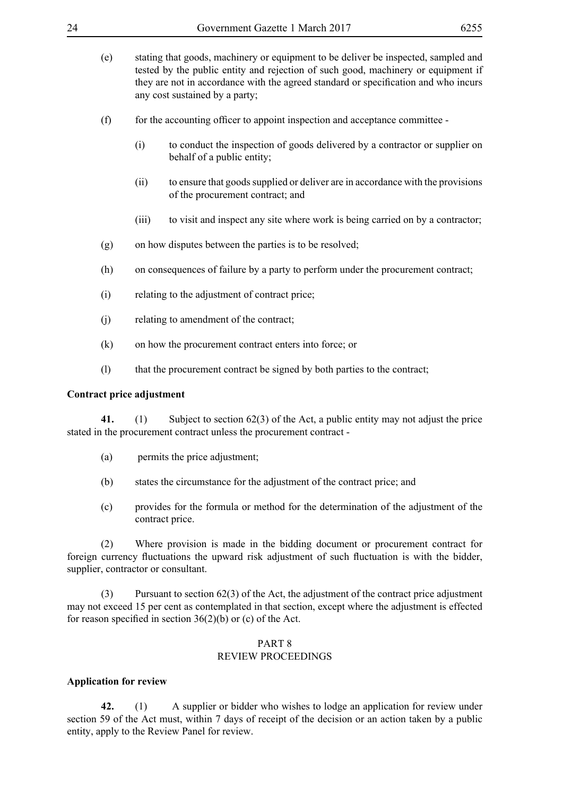- (e) stating that goods, machinery or equipment to be deliver be inspected, sampled and tested by the public entity and rejection of such good, machinery or equipment if they are not in accordance with the agreed standard or specification and who incurs any cost sustained by a party;
- (f) for the accounting officer to appoint inspection and acceptance committee
	- (i) to conduct the inspection of goods delivered by a contractor or supplier on behalf of a public entity;
	- (ii) to ensure that goods supplied or deliver are in accordance with the provisions of the procurement contract; and
	- (iii) to visit and inspect any site where work is being carried on by a contractor;
- $(g)$  on how disputes between the parties is to be resolved;
- (h) on consequences of failure by a party to perform under the procurement contract;
- (i) relating to the adjustment of contract price;
- (i) relating to amendment of the contract;
- (k) on how the procurement contract enters into force; or
- (I) that the procurement contract be signed by both parties to the contract;

#### **Contract price adjustment**

**41.** (1) Subject to section 62(3) of the Act, a public entity may not adjust the price stated in the procurement contract unless the procurement contract -

- (a) permits the price adjustment;
- (b) states the circumstance for the adjustment of the contract price; and
- (c) provides for the formula or method for the determination of the adjustment of the contract price.

(2) Where provision is made in the bidding document or procurement contract for foreign currency fluctuations the upward risk adjustment of such fluctuation is with the bidder, supplier, contractor or consultant.

(3) Pursuant to section 62(3) of the Act, the adjustment of the contract price adjustment may not exceed 15 per cent as contemplated in that section, except where the adjustment is effected for reason specified in section  $36(2)(b)$  or (c) of the Act.

#### PART 8 REVIEW PROCEEDINGS

#### **Application for review**

**42.** (1) A supplier or bidder who wishes to lodge an application for review under section 59 of the Act must, within 7 days of receipt of the decision or an action taken by a public entity, apply to the Review Panel for review.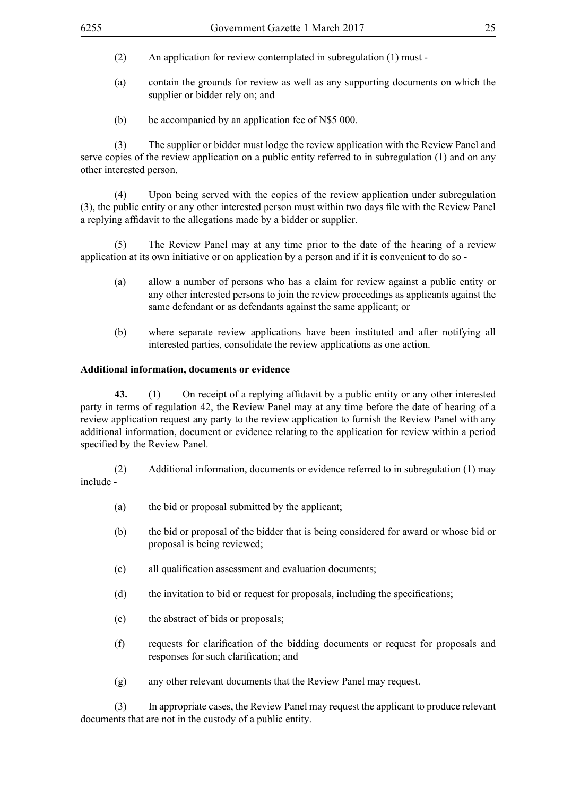- (2) An application for review contemplated in subregulation (1) must -
- (a) contain the grounds for review as well as any supporting documents on which the supplier or bidder rely on; and
- (b) be accompanied by an application fee of N\$5 000.

(3) The supplier or bidder must lodge the review application with the Review Panel and serve copies of the review application on a public entity referred to in subregulation (1) and on any other interested person.

(4) Upon being served with the copies of the review application under subregulation (3), the public entity or any other interested person must within two days file with the Review Panel a replying affidavit to the allegations made by a bidder or supplier.

(5) The Review Panel may at any time prior to the date of the hearing of a review application at its own initiative or on application by a person and if it is convenient to do so -

- (a) allow a number of persons who has a claim for review against a public entity or any other interested persons to join the review proceedings as applicants against the same defendant or as defendants against the same applicant; or
- (b) where separate review applications have been instituted and after notifying all interested parties, consolidate the review applications as one action.

#### **Additional information, documents or evidence**

**43.** (1) On receipt of a replying affidavit by a public entity or any other interested party in terms of regulation 42, the Review Panel may at any time before the date of hearing of a review application request any party to the review application to furnish the Review Panel with any additional information, document or evidence relating to the application for review within a period specified by the Review Panel.

(2) Additional information, documents or evidence referred to in subregulation (1) may include -

- (a) the bid or proposal submitted by the applicant;
- (b) the bid or proposal of the bidder that is being considered for award or whose bid or proposal is being reviewed;
- (c) all qualification assessment and evaluation documents;
- (d) the invitation to bid or request for proposals, including the specifications;
- (e) the abstract of bids or proposals;
- (f) requests for clarification of the bidding documents or request for proposals and responses for such clarification; and
- (g) any other relevant documents that the Review Panel may request.

(3) In appropriate cases, the Review Panel may request the applicant to produce relevant documents that are not in the custody of a public entity.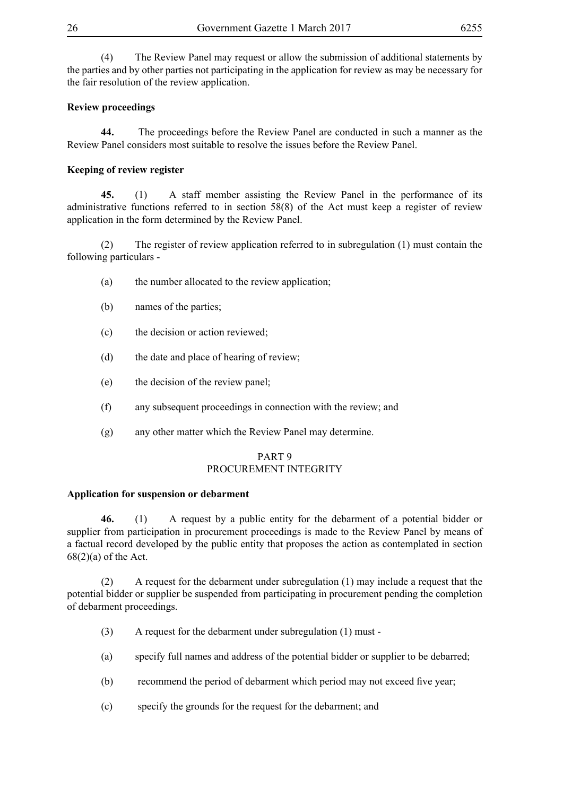(4) The Review Panel may request or allow the submission of additional statements by the parties and by other parties not participating in the application for review as may be necessary for the fair resolution of the review application.

# **Review proceedings**

**44.** The proceedings before the Review Panel are conducted in such a manner as the Review Panel considers most suitable to resolve the issues before the Review Panel.

# **Keeping of review register**

**45.** (1) A staff member assisting the Review Panel in the performance of its administrative functions referred to in section 58(8) of the Act must keep a register of review application in the form determined by the Review Panel.

(2) The register of review application referred to in subregulation (1) must contain the following particulars -

- (a) the number allocated to the review application;
- (b) names of the parties;
- (c) the decision or action reviewed;
- (d) the date and place of hearing of review;
- (e) the decision of the review panel;
- (f) any subsequent proceedings in connection with the review; and
- (g) any other matter which the Review Panel may determine.

#### PART 9 PROCUREMENT INTEGRITY

# **Application for suspension or debarment**

**46.** (1) A request by a public entity for the debarment of a potential bidder or supplier from participation in procurement proceedings is made to the Review Panel by means of a factual record developed by the public entity that proposes the action as contemplated in section  $68(2)(a)$  of the Act.

(2) A request for the debarment under subregulation (1) may include a request that the potential bidder or supplier be suspended from participating in procurement pending the completion of debarment proceedings.

- (3) A request for the debarment under subregulation (1) must -
- (a) specify full names and address of the potential bidder or supplier to be debarred;
- (b) recommend the period of debarment which period may not exceed five year;
- (c) specify the grounds for the request for the debarment; and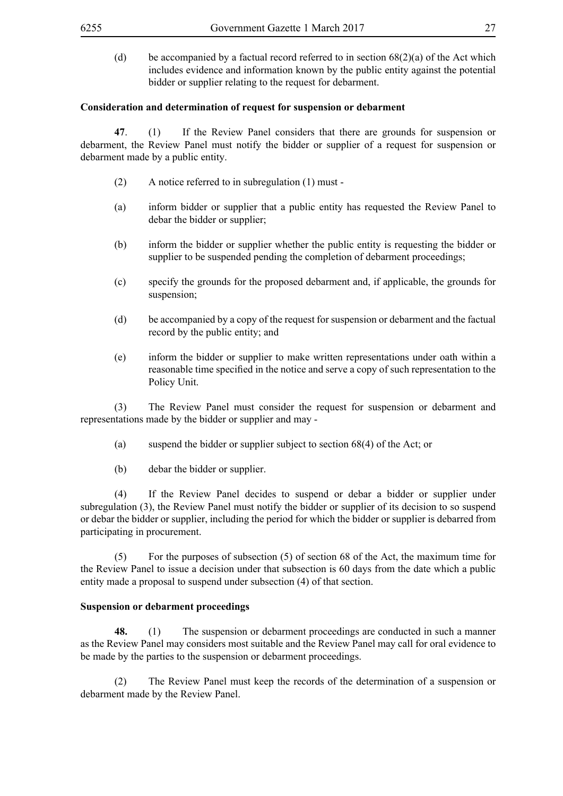(d) be accompanied by a factual record referred to in section  $68(2)(a)$  of the Act which includes evidence and information known by the public entity against the potential bidder or supplier relating to the request for debarment.

#### **Consideration and determination of request for suspension or debarment**

**47**. (1) If the Review Panel considers that there are grounds for suspension or debarment, the Review Panel must notify the bidder or supplier of a request for suspension or debarment made by a public entity.

- (2) A notice referred to in subregulation (1) must -
- (a) inform bidder or supplier that a public entity has requested the Review Panel to debar the bidder or supplier;
- (b) inform the bidder or supplier whether the public entity is requesting the bidder or supplier to be suspended pending the completion of debarment proceedings;
- (c) specify the grounds for the proposed debarment and, if applicable, the grounds for suspension;
- (d) be accompanied by a copy of the request for suspension or debarment and the factual record by the public entity; and
- (e) inform the bidder or supplier to make written representations under oath within a reasonable time specified in the notice and serve a copy of such representation to the Policy Unit.

(3) The Review Panel must consider the request for suspension or debarment and representations made by the bidder or supplier and may -

- (a) suspend the bidder or supplier subject to section 68(4) of the Act; or
- (b) debar the bidder or supplier.

(4) If the Review Panel decides to suspend or debar a bidder or supplier under subregulation (3), the Review Panel must notify the bidder or supplier of its decision to so suspend or debar the bidder or supplier, including the period for which the bidder or supplier is debarred from participating in procurement.

(5) For the purposes of subsection (5) of section 68 of the Act, the maximum time for the Review Panel to issue a decision under that subsection is 60 days from the date which a public entity made a proposal to suspend under subsection (4) of that section.

#### **Suspension or debarment proceedings**

**48.** (1) The suspension or debarment proceedings are conducted in such a manner as the Review Panel may considers most suitable and the Review Panel may call for oral evidence to be made by the parties to the suspension or debarment proceedings.

(2) The Review Panel must keep the records of the determination of a suspension or debarment made by the Review Panel.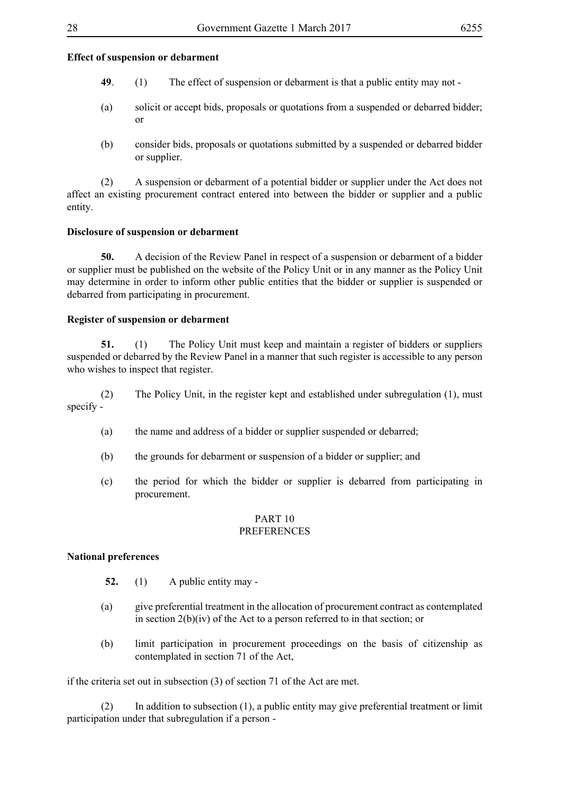#### **Effect of suspension or debarment**

- **49**. (1) The effect of suspension or debarment is that a public entity may not -
- (a) solicit or accept bids, proposals or quotations from a suspended or debarred bidder; or
- (b) consider bids, proposals or quotations submitted by a suspended or debarred bidder or supplier.

(2) A suspension or debarment of a potential bidder or supplier under the Act does not affect an existing procurement contract entered into between the bidder or supplier and a public entity.

#### **Disclosure of suspension or debarment**

**50.** A decision of the Review Panel in respect of a suspension or debarment of a bidder or supplier must be published on the website of the Policy Unit or in any manner as the Policy Unit may determine in order to inform other public entities that the bidder or supplier is suspended or debarred from participating in procurement.

#### **Register of suspension or debarment**

**51.** (1) The Policy Unit must keep and maintain a register of bidders or suppliers suspended or debarred by the Review Panel in a manner that such register is accessible to any person who wishes to inspect that register.

(2) The Policy Unit, in the register kept and established under subregulation (1), must specify -

- (a) the name and address of a bidder or supplier suspended or debarred;
- (b) the grounds for debarment or suspension of a bidder or supplier; and
- (c) the period for which the bidder or supplier is debarred from participating in procurement.

#### PART 10 PREFERENCES

#### **National preferences**

- **52.** (1) A public entity may -
- (a) give preferential treatment in the allocation of procurement contract as contemplated in section  $2(b)(iv)$  of the Act to a person referred to in that section; or
- (b) limit participation in procurement proceedings on the basis of citizenship as contemplated in section 71 of the Act,

if the criteria set out in subsection (3) of section 71 of the Act are met.

(2) In addition to subsection (1), a public entity may give preferential treatment or limit participation under that subregulation if a person -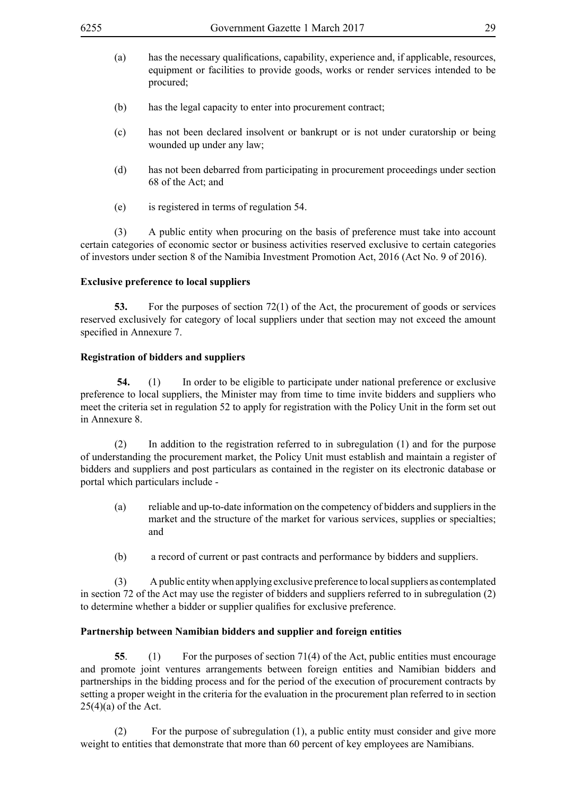- (a) has the necessary qualifications, capability, experience and, if applicable, resources, equipment or facilities to provide goods, works or render services intended to be procured;
- (b) has the legal capacity to enter into procurement contract;
- (c) has not been declared insolvent or bankrupt or is not under curatorship or being wounded up under any law;
- (d) has not been debarred from participating in procurement proceedings under section 68 of the Act; and
- (e) is registered in terms of regulation 54.

(3) A public entity when procuring on the basis of preference must take into account certain categories of economic sector or business activities reserved exclusive to certain categories of investors under section 8 of the Namibia Investment Promotion Act, 2016 (Act No. 9 of 2016).

#### **Exclusive preference to local suppliers**

**53.** For the purposes of section 72(1) of the Act, the procurement of goods or services reserved exclusively for category of local suppliers under that section may not exceed the amount specified in Annexure 7.

#### **Registration of bidders and suppliers**

**54.** (1) In order to be eligible to participate under national preference or exclusive preference to local suppliers, the Minister may from time to time invite bidders and suppliers who meet the criteria set in regulation 52 to apply for registration with the Policy Unit in the form set out in Annexure 8.

(2) In addition to the registration referred to in subregulation (1) and for the purpose of understanding the procurement market, the Policy Unit must establish and maintain a register of bidders and suppliers and post particulars as contained in the register on its electronic database or portal which particulars include -

- (a) reliable and up-to-date information on the competency of bidders and suppliers in the market and the structure of the market for various services, supplies or specialties; and
- (b) a record of current or past contracts and performance by bidders and suppliers.

(3) A public entity when applying exclusive preference to local suppliers as contemplated in section 72 of the Act may use the register of bidders and suppliers referred to in subregulation (2) to determine whether a bidder or supplier qualifies for exclusive preference.

#### **Partnership between Namibian bidders and supplier and foreign entities**

**55**. (1) For the purposes of section 71(4) of the Act, public entities must encourage and promote joint ventures arrangements between foreign entities and Namibian bidders and partnerships in the bidding process and for the period of the execution of procurement contracts by setting a proper weight in the criteria for the evaluation in the procurement plan referred to in section 25(4)(a) of the Act.

(2) For the purpose of subregulation (1), a public entity must consider and give more weight to entities that demonstrate that more than 60 percent of key employees are Namibians.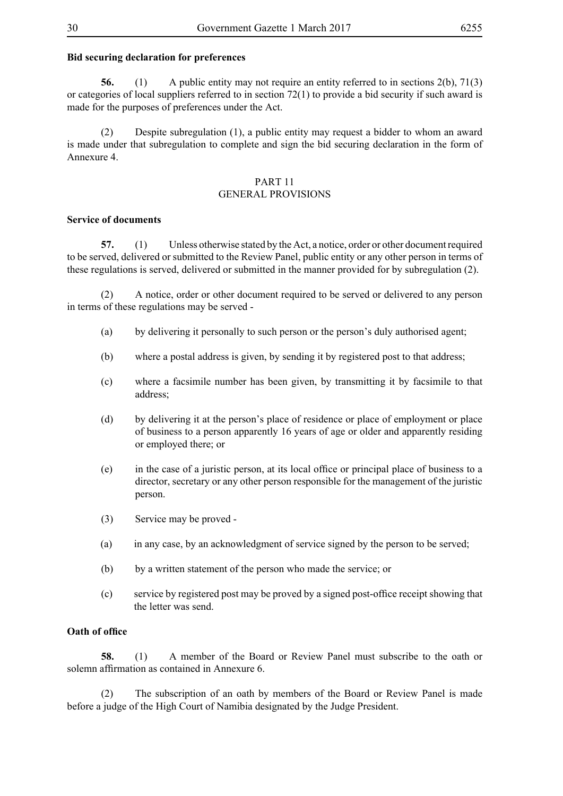#### **Bid securing declaration for preferences**

**56.** (1) A public entity may not require an entity referred to in sections 2(b), 71(3) or categories of local suppliers referred to in section 72(1) to provide a bid security if such award is made for the purposes of preferences under the Act.

(2) Despite subregulation (1), a public entity may request a bidder to whom an award is made under that subregulation to complete and sign the bid securing declaration in the form of Annexure 4.

#### PART 11 GENERAL PROVISIONS

#### **Service of documents**

**57.** (1) Unless otherwise stated by the Act, a notice, order or other document required to be served, delivered or submitted to the Review Panel, public entity or any other person in terms of these regulations is served, delivered or submitted in the manner provided for by subregulation (2).

(2) A notice, order or other document required to be served or delivered to any person in terms of these regulations may be served -

- (a) by delivering it personally to such person or the person's duly authorised agent;
- (b) where a postal address is given, by sending it by registered post to that address;
- (c) where a facsimile number has been given, by transmitting it by facsimile to that address;
- (d) by delivering it at the person's place of residence or place of employment or place of business to a person apparently 16 years of age or older and apparently residing or employed there; or
- (e) in the case of a juristic person, at its local office or principal place of business to a director, secretary or any other person responsible for the management of the juristic person.
- (3) Service may be proved -
- (a) in any case, by an acknowledgment of service signed by the person to be served;
- (b) by a written statement of the person who made the service; or
- (c) service by registered post may be proved by a signed post-office receipt showing that the letter was send.

#### **Oath of office**

**58.** (1) A member of the Board or Review Panel must subscribe to the oath or solemn affirmation as contained in Annexure 6.

(2) The subscription of an oath by members of the Board or Review Panel is made before a judge of the High Court of Namibia designated by the Judge President.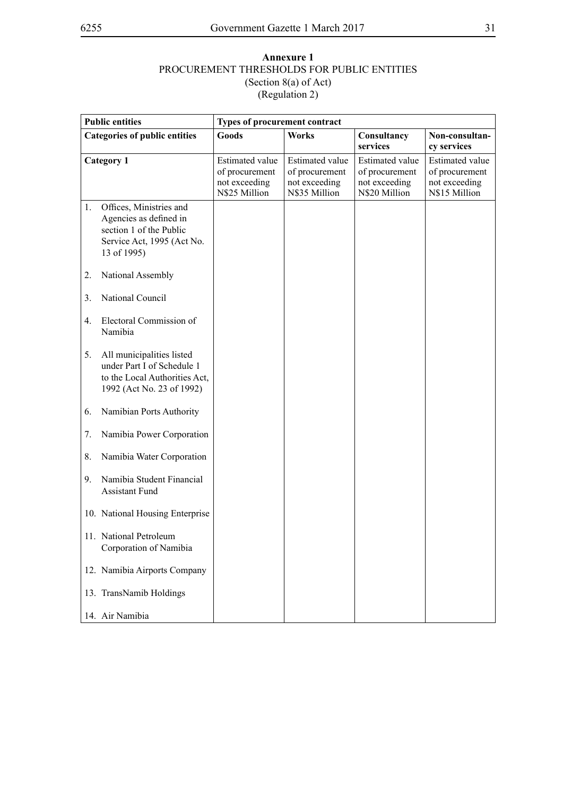# **Annexure 1** PROCUREMENT THRESHOLDS FOR PUBLIC ENTITIES (Section 8(a) of Act) (Regulation 2)

| <b>Public entities</b> |                                                                                                                           | Types of procurement contract                                              |                                                                            |                                                                            |                                                                            |
|------------------------|---------------------------------------------------------------------------------------------------------------------------|----------------------------------------------------------------------------|----------------------------------------------------------------------------|----------------------------------------------------------------------------|----------------------------------------------------------------------------|
|                        | <b>Categories of public entities</b>                                                                                      | Goods                                                                      | <b>Works</b>                                                               | Consultancy<br>services                                                    | Non-consultan-<br>cy services                                              |
|                        | <b>Category 1</b>                                                                                                         | <b>Estimated value</b><br>of procurement<br>not exceeding<br>N\$25 Million | <b>Estimated value</b><br>of procurement<br>not exceeding<br>N\$35 Million | <b>Estimated value</b><br>of procurement<br>not exceeding<br>N\$20 Million | <b>Estimated value</b><br>of procurement<br>not exceeding<br>N\$15 Million |
| 1.                     | Offices, Ministries and<br>Agencies as defined in<br>section 1 of the Public<br>Service Act, 1995 (Act No.<br>13 of 1995) |                                                                            |                                                                            |                                                                            |                                                                            |
| 2.                     | National Assembly                                                                                                         |                                                                            |                                                                            |                                                                            |                                                                            |
| 3.                     | National Council                                                                                                          |                                                                            |                                                                            |                                                                            |                                                                            |
| 4.                     | Electoral Commission of<br>Namibia                                                                                        |                                                                            |                                                                            |                                                                            |                                                                            |
| 5.                     | All municipalities listed<br>under Part I of Schedule 1<br>to the Local Authorities Act,<br>1992 (Act No. 23 of 1992)     |                                                                            |                                                                            |                                                                            |                                                                            |
| 6.                     | Namibian Ports Authority                                                                                                  |                                                                            |                                                                            |                                                                            |                                                                            |
| 7.                     | Namibia Power Corporation                                                                                                 |                                                                            |                                                                            |                                                                            |                                                                            |
| 8.                     | Namibia Water Corporation                                                                                                 |                                                                            |                                                                            |                                                                            |                                                                            |
| 9.                     | Namibia Student Financial<br><b>Assistant Fund</b>                                                                        |                                                                            |                                                                            |                                                                            |                                                                            |
|                        | 10. National Housing Enterprise                                                                                           |                                                                            |                                                                            |                                                                            |                                                                            |
|                        | 11. National Petroleum<br>Corporation of Namibia                                                                          |                                                                            |                                                                            |                                                                            |                                                                            |
|                        | 12. Namibia Airports Company                                                                                              |                                                                            |                                                                            |                                                                            |                                                                            |
|                        | 13. TransNamib Holdings                                                                                                   |                                                                            |                                                                            |                                                                            |                                                                            |
|                        | 14. Air Namibia                                                                                                           |                                                                            |                                                                            |                                                                            |                                                                            |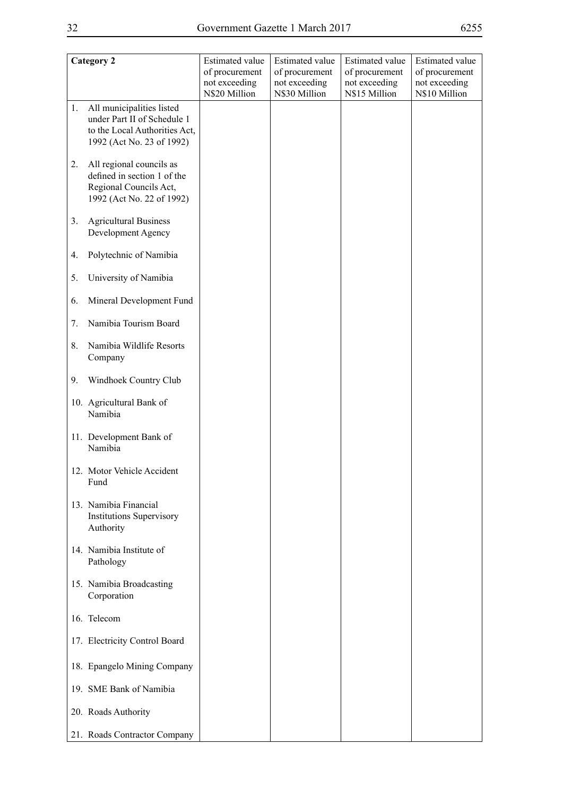| <b>Category 2</b> |                                                                                                                        | <b>Estimated value</b><br>of procurement<br>not exceeding | Estimated value<br>of procurement<br>not exceeding | Estimated value<br>of procurement<br>not exceeding | <b>Estimated value</b><br>of procurement<br>not exceeding |
|-------------------|------------------------------------------------------------------------------------------------------------------------|-----------------------------------------------------------|----------------------------------------------------|----------------------------------------------------|-----------------------------------------------------------|
| 1.                | All municipalities listed<br>under Part II of Schedule 1<br>to the Local Authorities Act,<br>1992 (Act No. 23 of 1992) | N\$20 Million                                             | N\$30 Million                                      | N\$15 Million                                      | N\$10 Million                                             |
| 2.                | All regional councils as<br>defined in section 1 of the<br>Regional Councils Act,<br>1992 (Act No. 22 of 1992)         |                                                           |                                                    |                                                    |                                                           |
| 3.                | <b>Agricultural Business</b><br>Development Agency                                                                     |                                                           |                                                    |                                                    |                                                           |
| 4.                | Polytechnic of Namibia                                                                                                 |                                                           |                                                    |                                                    |                                                           |
| 5.                | University of Namibia                                                                                                  |                                                           |                                                    |                                                    |                                                           |
| 6.                | Mineral Development Fund                                                                                               |                                                           |                                                    |                                                    |                                                           |
| 7.                | Namibia Tourism Board                                                                                                  |                                                           |                                                    |                                                    |                                                           |
| 8.                | Namibia Wildlife Resorts<br>Company                                                                                    |                                                           |                                                    |                                                    |                                                           |
| 9.                | Windhoek Country Club                                                                                                  |                                                           |                                                    |                                                    |                                                           |
|                   | 10. Agricultural Bank of<br>Namibia                                                                                    |                                                           |                                                    |                                                    |                                                           |
|                   | 11. Development Bank of<br>Namibia                                                                                     |                                                           |                                                    |                                                    |                                                           |
|                   | 12. Motor Vehicle Accident<br>Fund                                                                                     |                                                           |                                                    |                                                    |                                                           |
|                   | 13. Namibia Financial<br><b>Institutions Supervisory</b><br>Authority                                                  |                                                           |                                                    |                                                    |                                                           |
|                   | 14. Namibia Institute of<br>Pathology                                                                                  |                                                           |                                                    |                                                    |                                                           |
|                   | 15. Namibia Broadcasting<br>Corporation                                                                                |                                                           |                                                    |                                                    |                                                           |
|                   | 16. Telecom                                                                                                            |                                                           |                                                    |                                                    |                                                           |
|                   | 17. Electricity Control Board                                                                                          |                                                           |                                                    |                                                    |                                                           |
|                   | 18. Epangelo Mining Company                                                                                            |                                                           |                                                    |                                                    |                                                           |
|                   | 19. SME Bank of Namibia                                                                                                |                                                           |                                                    |                                                    |                                                           |
|                   | 20. Roads Authority                                                                                                    |                                                           |                                                    |                                                    |                                                           |
|                   | 21. Roads Contractor Company                                                                                           |                                                           |                                                    |                                                    |                                                           |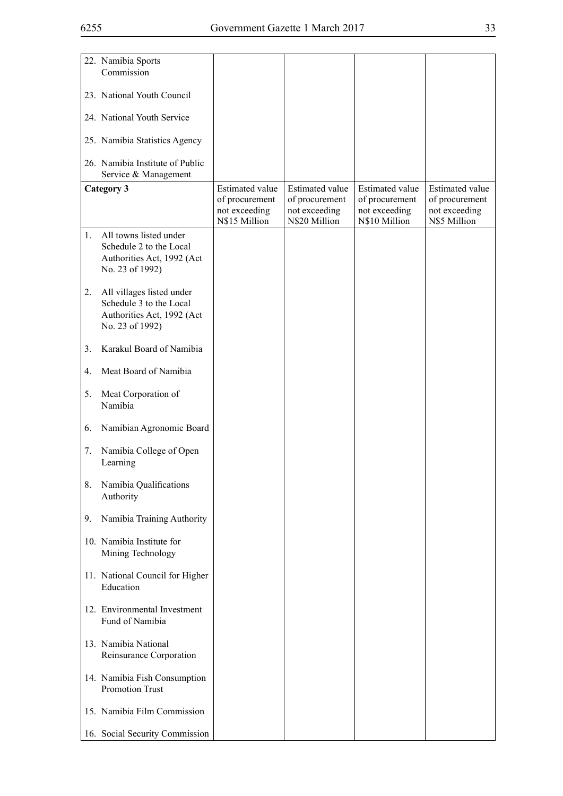| 22. Namibia Sports<br>Commission                                                                            |                                                                     |                                                                            |                                                                            |                                                                           |
|-------------------------------------------------------------------------------------------------------------|---------------------------------------------------------------------|----------------------------------------------------------------------------|----------------------------------------------------------------------------|---------------------------------------------------------------------------|
| 23. National Youth Council                                                                                  |                                                                     |                                                                            |                                                                            |                                                                           |
| 24. National Youth Service                                                                                  |                                                                     |                                                                            |                                                                            |                                                                           |
| 25. Namibia Statistics Agency                                                                               |                                                                     |                                                                            |                                                                            |                                                                           |
| 26. Namibia Institute of Public<br>Service & Management                                                     |                                                                     |                                                                            |                                                                            |                                                                           |
| Category 3                                                                                                  | Estimated value<br>of procurement<br>not exceeding<br>N\$15 Million | <b>Estimated value</b><br>of procurement<br>not exceeding<br>N\$20 Million | <b>Estimated value</b><br>of procurement<br>not exceeding<br>N\$10 Million | <b>Estimated value</b><br>of procurement<br>not exceeding<br>N\$5 Million |
| All towns listed under<br>1.<br>Schedule 2 to the Local<br>Authorities Act, 1992 (Act<br>No. 23 of 1992)    |                                                                     |                                                                            |                                                                            |                                                                           |
| All villages listed under<br>2.<br>Schedule 3 to the Local<br>Authorities Act, 1992 (Act<br>No. 23 of 1992) |                                                                     |                                                                            |                                                                            |                                                                           |
| Karakul Board of Namibia<br>3.                                                                              |                                                                     |                                                                            |                                                                            |                                                                           |
| Meat Board of Namibia<br>4.                                                                                 |                                                                     |                                                                            |                                                                            |                                                                           |
| Meat Corporation of<br>5.<br>Namibia                                                                        |                                                                     |                                                                            |                                                                            |                                                                           |
| Namibian Agronomic Board<br>6.                                                                              |                                                                     |                                                                            |                                                                            |                                                                           |
| Namibia College of Open<br>7.<br>Learning                                                                   |                                                                     |                                                                            |                                                                            |                                                                           |
| Namibia Qualifications<br>8.<br>Authority                                                                   |                                                                     |                                                                            |                                                                            |                                                                           |
| Namibia Training Authority<br>9.                                                                            |                                                                     |                                                                            |                                                                            |                                                                           |
| 10. Namibia Institute for<br>Mining Technology                                                              |                                                                     |                                                                            |                                                                            |                                                                           |
| 11. National Council for Higher<br>Education                                                                |                                                                     |                                                                            |                                                                            |                                                                           |
| 12. Environmental Investment<br>Fund of Namibia                                                             |                                                                     |                                                                            |                                                                            |                                                                           |
| 13. Namibia National<br>Reinsurance Corporation                                                             |                                                                     |                                                                            |                                                                            |                                                                           |
| 14. Namibia Fish Consumption<br>Promotion Trust                                                             |                                                                     |                                                                            |                                                                            |                                                                           |
| 15. Namibia Film Commission                                                                                 |                                                                     |                                                                            |                                                                            |                                                                           |
| 16. Social Security Commission                                                                              |                                                                     |                                                                            |                                                                            |                                                                           |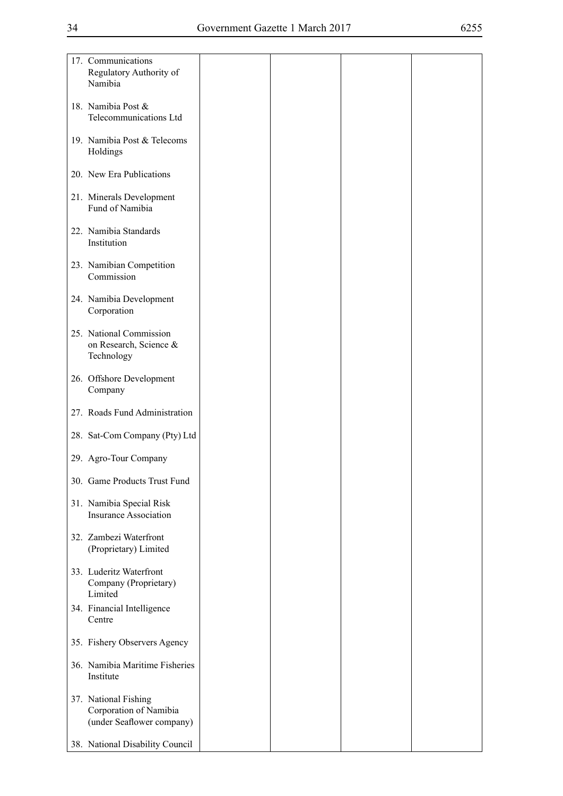|  | 17. Communications<br>Regulatory Authority of<br>Namibia                    |  |  |
|--|-----------------------------------------------------------------------------|--|--|
|  | 18. Namibia Post &<br>Telecommunications Ltd                                |  |  |
|  | 19. Namibia Post & Telecoms<br>Holdings                                     |  |  |
|  | 20. New Era Publications                                                    |  |  |
|  | 21. Minerals Development<br>Fund of Namibia                                 |  |  |
|  | 22. Namibia Standards<br>Institution                                        |  |  |
|  | 23. Namibian Competition<br>Commission                                      |  |  |
|  | 24. Namibia Development<br>Corporation                                      |  |  |
|  | 25. National Commission<br>on Research, Science &<br>Technology             |  |  |
|  | 26. Offshore Development<br>Company                                         |  |  |
|  | 27. Roads Fund Administration                                               |  |  |
|  | 28. Sat-Com Company (Pty) Ltd                                               |  |  |
|  | 29. Agro-Tour Company                                                       |  |  |
|  | 30. Game Products Trust Fund                                                |  |  |
|  | 31. Namibia Special Risk<br><b>Insurance Association</b>                    |  |  |
|  | 32. Zambezi Waterfront<br>(Proprietary) Limited                             |  |  |
|  | 33. Luderitz Waterfront<br>Company (Proprietary)<br>Limited                 |  |  |
|  | 34. Financial Intelligence<br>Centre                                        |  |  |
|  | 35. Fishery Observers Agency                                                |  |  |
|  | 36. Namibia Maritime Fisheries<br>Institute                                 |  |  |
|  | 37. National Fishing<br>Corporation of Namibia<br>(under Seaflower company) |  |  |
|  | 38. National Disability Council                                             |  |  |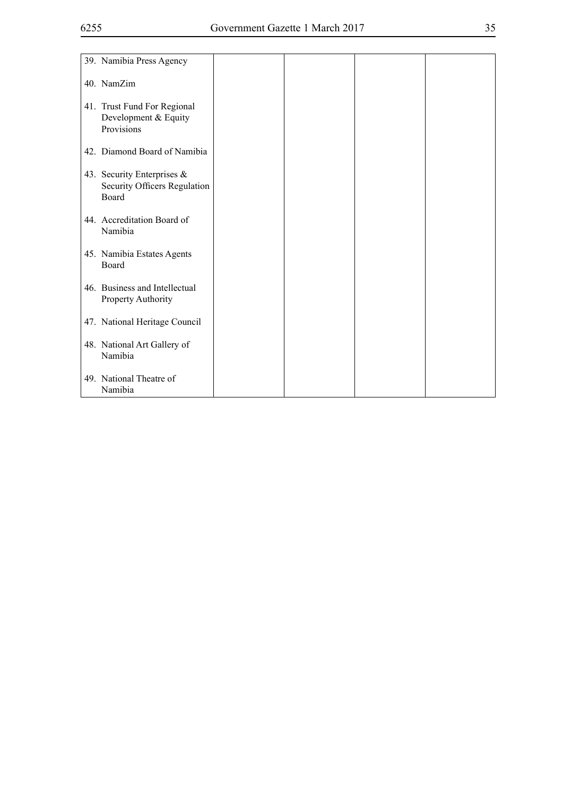| 39. Namibia Press Agency                                            |  |  |
|---------------------------------------------------------------------|--|--|
| 40. NamZim                                                          |  |  |
| 41. Trust Fund For Regional<br>Development & Equity<br>Provisions   |  |  |
| 42. Diamond Board of Namibia                                        |  |  |
| 43. Security Enterprises &<br>Security Officers Regulation<br>Board |  |  |
| 44. Accreditation Board of<br>Namibia                               |  |  |
| 45. Namibia Estates Agents<br>Board                                 |  |  |
| 46. Business and Intellectual<br>Property Authority                 |  |  |
| 47. National Heritage Council                                       |  |  |
| 48. National Art Gallery of<br>Namibia                              |  |  |
| 49. National Theatre of<br>Namibia                                  |  |  |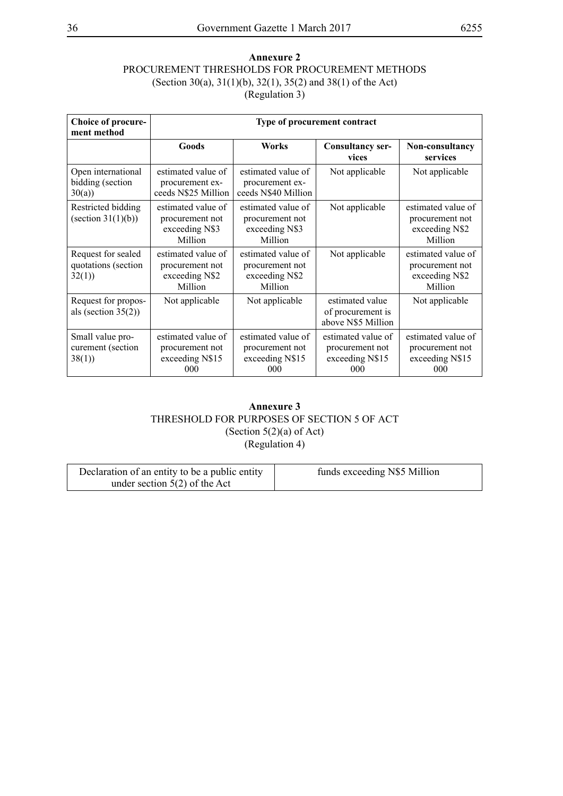# **Annexure 2** PROCUREMENT THRESHOLDS FOR PROCUREMENT METHODS (Section 30(a), 31(1)(b), 32(1), 35(2) and 38(1) of the Act) (Regulation 3)

| Choice of procure-<br>ment method                  | Type of procurement contract                                       |                                                                    |                                                                 |                                                                    |  |
|----------------------------------------------------|--------------------------------------------------------------------|--------------------------------------------------------------------|-----------------------------------------------------------------|--------------------------------------------------------------------|--|
|                                                    | Goods                                                              | Works                                                              | <b>Consultancy ser-</b><br>vices                                | Non-consultancy<br>services                                        |  |
| Open international<br>bidding (section<br>30(a)    | estimated value of<br>procurement ex-<br>ceeds N\$25 Million       | estimated value of<br>procurement ex-<br>ceeds N\$40 Million       | Not applicable                                                  | Not applicable                                                     |  |
| Restricted bidding<br>(section $31(1)(b)$ )        | estimated value of<br>procurement not<br>exceeding N\$3<br>Million | estimated value of<br>procurement not<br>exceeding N\$3<br>Million | Not applicable                                                  | estimated value of<br>procurement not<br>exceeding N\$2<br>Million |  |
| Request for sealed<br>quotations (section<br>32(1) | estimated value of<br>procurement not<br>exceeding N\$2<br>Million | estimated value of<br>procurement not<br>exceeding N\$2<br>Million | Not applicable                                                  | estimated value of<br>procurement not<br>exceeding N\$2<br>Million |  |
| Request for propos-<br>als (section $35(2)$ )      | Not applicable                                                     | Not applicable                                                     | estimated value<br>of procurement is<br>above N\$5 Million      | Not applicable                                                     |  |
| Small value pro-<br>curement (section<br>38(1)     | estimated value of<br>procurement not<br>exceeding N\$15<br>000    | estimated value of<br>procurement not<br>exceeding N\$15<br>000    | estimated value of<br>procurement not<br>exceeding N\$15<br>000 | estimated value of<br>procurement not<br>exceeding N\$15<br>000    |  |

# **Annexure 3** THRESHOLD FOR PURPOSES OF SECTION 5 OF ACT (Section  $5(2)(a)$  of Act) (Regulation 4)

| Declaration of an entity to be a public entity | funds exceeding N\$5 Million |
|------------------------------------------------|------------------------------|
| under section $5(2)$ of the Act                |                              |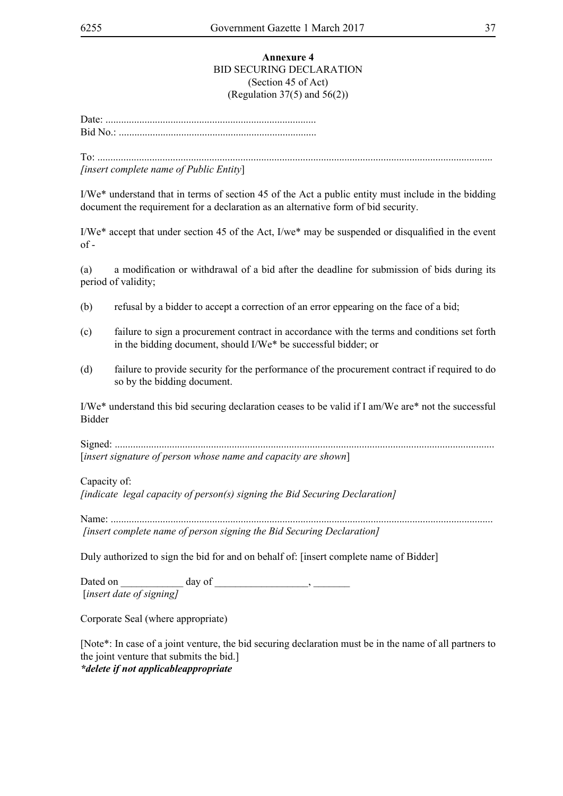# **Annexure 4** BID SECURING DECLARATION (Section 45 of Act) (Regulation 37 $(5)$  and 56 $(2)$ )

Date: .................................................................................

Bid No.: ............................................................................

To: ........................................................................................................................................................

*[insert complete name of Public Entity*]

I/We\* understand that in terms of section 45 of the Act a public entity must include in the bidding document the requirement for a declaration as an alternative form of bid security.

I/We\* accept that under section 45 of the Act, I/we\* may be suspended or disqualified in the event  $of -$ 

(a) a modification or withdrawal of a bid after the deadline for submission of bids during its period of validity;

- (b) refusal by a bidder to accept a correction of an error eppearing on the face of a bid;
- (c) failure to sign a procurement contract in accordance with the terms and conditions set forth in the bidding document, should I/We\* be successful bidder; or
- (d) failure to provide security for the performance of the procurement contract if required to do so by the bidding document.

I/We\* understand this bid securing declaration ceases to be valid if I am/We are\* not the successful Bidder

Signed: .................................................................................................................................................. [*insert signature of person whose name and capacity are shown*]

Capacity of:

*[indicate legal capacity of person(s) signing the Bid Securing Declaration]*

Name: ................................................................................................................................................... *[insert complete name of person signing the Bid Securing Declaration]*

Duly authorized to sign the bid for and on behalf of: [insert complete name of Bidder]

Dated on \_\_\_\_\_\_\_\_\_\_\_\_ day of \_\_\_\_\_\_\_\_\_\_\_\_\_\_\_\_\_\_, \_\_\_\_\_\_\_ [*insert date of signing]*

Corporate Seal (where appropriate)

[Note\*: In case of a joint venture, the bid securing declaration must be in the name of all partners to the joint venture that submits the bid.] *\*delete if not applicableappropriate*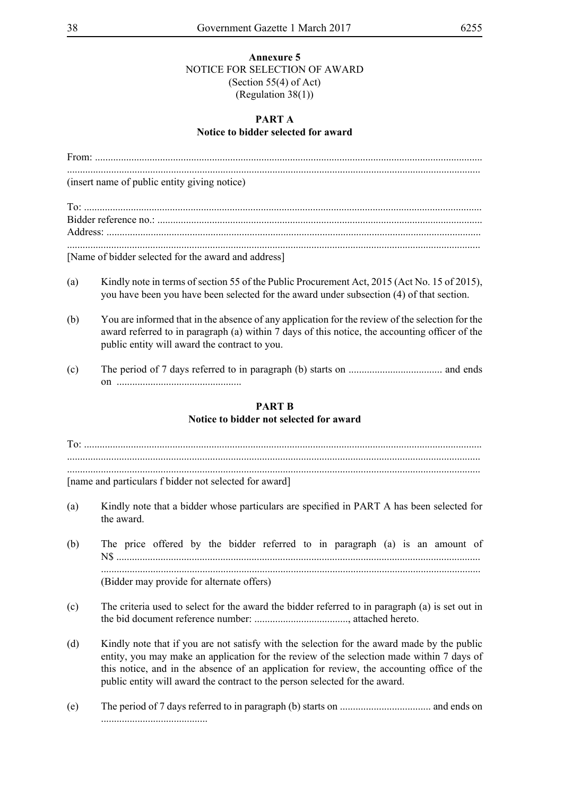# **Annexure 5** NOTICE FOR SELECTION OF AWARD (Section 55(4) of Act) (Regulation 38(1))

### **PART A Notice to bidder selected for award**

|     | (insert name of public entity giving notice)                                                                                                                                                                                                                                                                                                                          |
|-----|-----------------------------------------------------------------------------------------------------------------------------------------------------------------------------------------------------------------------------------------------------------------------------------------------------------------------------------------------------------------------|
|     |                                                                                                                                                                                                                                                                                                                                                                       |
|     | [Name of bidder selected for the award and address]                                                                                                                                                                                                                                                                                                                   |
| (a) | Kindly note in terms of section 55 of the Public Procurement Act, 2015 (Act No. 15 of 2015),<br>you have been you have been selected for the award under subsection (4) of that section.                                                                                                                                                                              |
| (b) | You are informed that in the absence of any application for the review of the selection for the<br>award referred to in paragraph (a) within 7 days of this notice, the accounting officer of the<br>public entity will award the contract to you.                                                                                                                    |
| (c) |                                                                                                                                                                                                                                                                                                                                                                       |
|     | <b>PART B</b><br>Notice to bidder not selected for award                                                                                                                                                                                                                                                                                                              |
|     | [name and particulars f bidder not selected for award]                                                                                                                                                                                                                                                                                                                |
| (a) | Kindly note that a bidder whose particulars are specified in PART A has been selected for<br>the award.                                                                                                                                                                                                                                                               |
| (b) | The price offered by the bidder referred to in paragraph (a) is an amount of<br>(Bidder may provide for alternate offers)                                                                                                                                                                                                                                             |
| (c) | The criteria used to select for the award the bidder referred to in paragraph (a) is set out in                                                                                                                                                                                                                                                                       |
| (d) | Kindly note that if you are not satisfy with the selection for the award made by the public<br>entity, you may make an application for the review of the selection made within 7 days of<br>this notice, and in the absence of an application for review, the accounting office of the<br>public entity will award the contract to the person selected for the award. |
| (e) |                                                                                                                                                                                                                                                                                                                                                                       |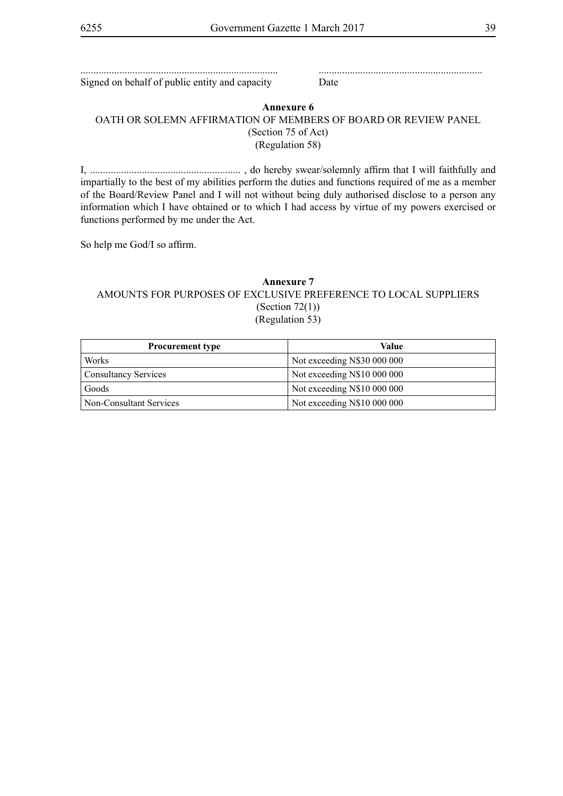#### ............................................................................ ............................................................... Signed on behalf of public entity and capacity Date

# **Annexure 6** OATH OR SOLEMN AFFIRMATION OF MEMBERS OF BOARD OR REVIEW PANEL (Section 75 of Act) (Regulation 58)

I, .......................................................... , do hereby swear/solemnly affirm that I will faithfully and impartially to the best of my abilities perform the duties and functions required of me as a member of the Board/Review Panel and I will not without being duly authorised disclose to a person any information which I have obtained or to which I had access by virtue of my powers exercised or functions performed by me under the Act.

So help me God/I so affirm.

# **Annexure 7** AMOUNTS FOR PURPOSES OF EXCLUSIVE PREFERENCE TO LOCAL SUPPLIERS (Section  $72(1)$ ) (Regulation 53)

| <b>Procurement type</b>     | Value                       |  |  |
|-----------------------------|-----------------------------|--|--|
| Works                       | Not exceeding N\$30 000 000 |  |  |
| <b>Consultancy Services</b> | Not exceeding N\$10 000 000 |  |  |
| Goods                       | Not exceeding N\$10 000 000 |  |  |
| Non-Consultant Services     | Not exceeding N\$10 000 000 |  |  |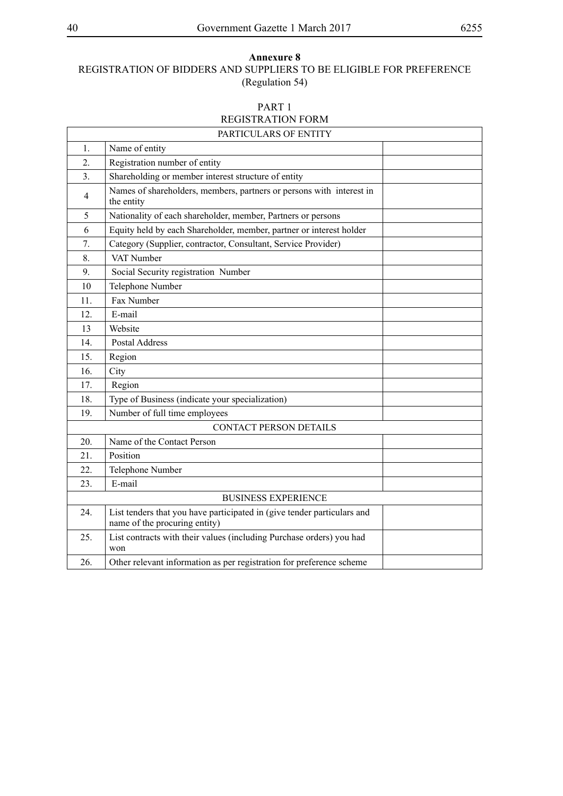# **Annexure 8** REGISTRATION OF BIDDERS AND SUPPLIERS TO BE ELIGIBLE FOR PREFERENCE (Regulation 54)

# PART 1 REGISTRATION FORM

|                  | PARTICULARS OF ENTITY                                                                                    |
|------------------|----------------------------------------------------------------------------------------------------------|
| $\mathbf{1}$ .   | Name of entity                                                                                           |
| $\overline{2}$ . | Registration number of entity                                                                            |
| 3.               | Shareholding or member interest structure of entity                                                      |
| $\overline{4}$   | Names of shareholders, members, partners or persons with interest in<br>the entity                       |
| 5                | Nationality of each shareholder, member, Partners or persons                                             |
| 6                | Equity held by each Shareholder, member, partner or interest holder                                      |
| 7.               | Category (Supplier, contractor, Consultant, Service Provider)                                            |
| 8.               | VAT Number                                                                                               |
| 9.               | Social Security registration Number                                                                      |
| 10               | Telephone Number                                                                                         |
| 11.              | Fax Number                                                                                               |
| 12.              | E-mail                                                                                                   |
| 13               | Website                                                                                                  |
| 14.              | <b>Postal Address</b>                                                                                    |
| 15.              | Region                                                                                                   |
| 16.              | City                                                                                                     |
| 17.              | Region                                                                                                   |
| 18.              | Type of Business (indicate your specialization)                                                          |
| 19.              | Number of full time employees                                                                            |
|                  | <b>CONTACT PERSON DETAILS</b>                                                                            |
| 20.              | Name of the Contact Person                                                                               |
| 21.              | Position                                                                                                 |
| 22.              | Telephone Number                                                                                         |
| 23.              | E-mail                                                                                                   |
|                  | <b>BUSINESS EXPERIENCE</b>                                                                               |
| 24.              | List tenders that you have participated in (give tender particulars and<br>name of the procuring entity) |
| 25.              | List contracts with their values (including Purchase orders) you had<br>won                              |
| 26.              | Other relevant information as per registration for preference scheme                                     |

 $\Gamma$